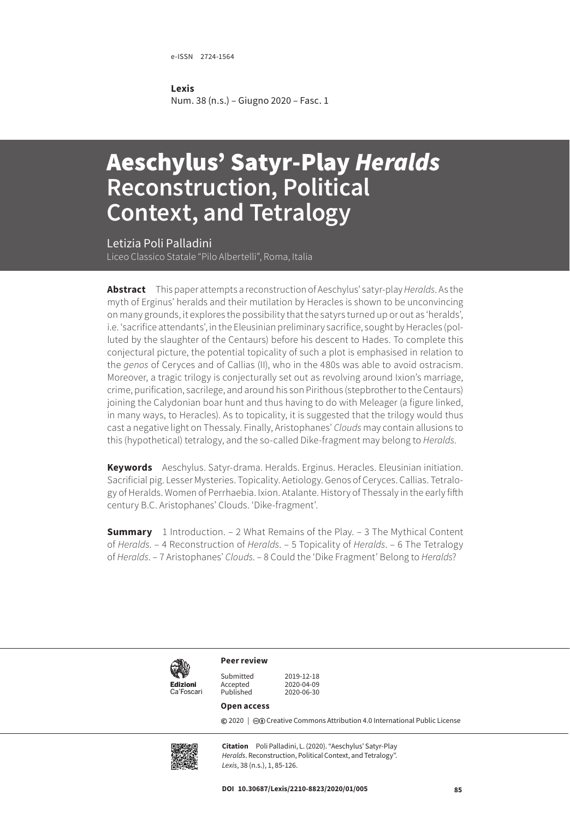e-ISSN 2724-1564

#### **Lexis**

Num. 38 (n.s.) – Giugno 2020 – Fasc. 1

# Aeschylus' Satyr-Play *Heralds* **Reconstruction, Political Context, and Tetralogy**

Letizia Poli Palladini Liceo Classico Statale "Pilo Albertelli", Roma, Italia

**Abstract** This paper attempts a reconstruction of Aeschylus' satyr-play *Heralds*. As the myth of Erginus' heralds and their mutilation by Heracles is shown to be unconvincing on many grounds, it explores the possibility that the satyrs turned up or out as 'heralds', i.e. 'sacrifice attendants', in the Eleusinian preliminary sacrifice, sought by Heracles (polluted by the slaughter of the Centaurs) before his descent to Hades. To complete this conjectural picture, the potential topicality of such a plot is emphasised in relation to the *genos* of Ceryces and of Callias (II), who in the 480s was able to avoid ostracism. Moreover, a tragic trilogy is conjecturally set out as revolving around Ixion's marriage, crime, purification, sacrilege, and around his son Pirithous (stepbrother to the Centaurs) joining the Calydonian boar hunt and thus having to do with Meleager (a figure linked, in many ways, to Heracles). As to topicality, it is suggested that the trilogy would thus cast a negative light on Thessaly. Finally, Aristophanes' *Clouds* may contain allusions to this (hypothetical) tetralogy, and the so-called Dike-fragment may belong to *Heralds*.

**Keywords** Aeschylus. Satyr-drama. Heralds. Erginus. Heracles. Eleusinian initiation. Sacrificial pig. Lesser Mysteries. Topicality. Aetiology. Genos of Ceryces. Callias. Tetralogy of Heralds. Women of Perrhaebia. Ixion. Atalante. History of Thessaly in the early fifth century B.C. Aristophanes' Clouds. 'Dike-fragment'.

**Summary** 1 Introduction. – 2 What Remains of the Play. – 3 The Mythical Content of *Heralds*. – 4 Reconstruction of *Heralds*. – 5 Topicality of *Heralds*. – 6 The Tetralogy of *Heralds*. – 7 Aristophanes' *Clouds*. – 8 Could the 'Dike Fragment' Belong to *Heralds*?



Submitted 2019-12-18<br>Accepted 2020-04-09 Accepted<br>Published

2020-06-30

#### **Open access**

**Peer review**

**©** 2020 | ©**O** [Creative Commons Attribution 4.0 International Public License](https://creativecommons.org/licenses/by/4.0/)



**Citation** Poli Palladini, L. (2020). "Aeschylus' Satyr-Play *Heralds*. Reconstruction, Political Context, and Tetralogy". *Lexis*, 38 (n.s.), 1, 85-126.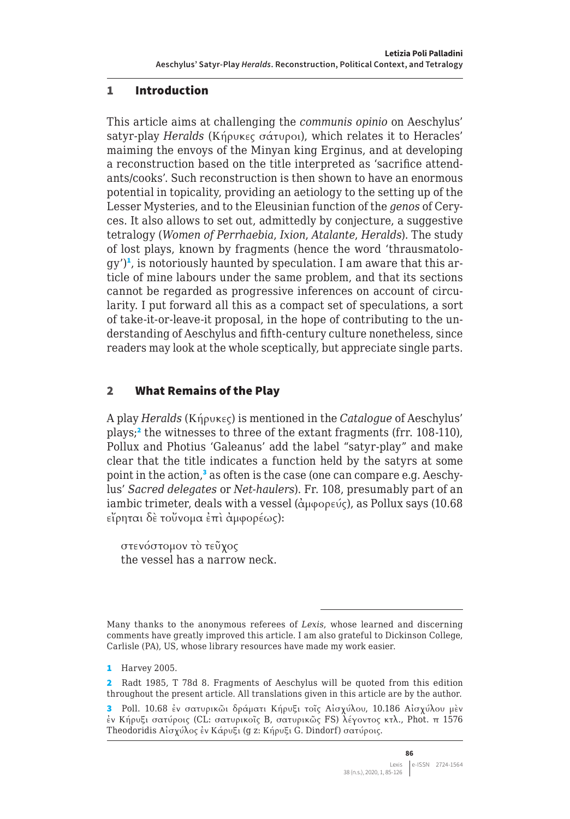#### 1 Introduction

This article aims at challenging the *communis opinio* on Aeschylus' satyr-play *Heralds* (Κήρυκες σάτυροι), which relates it to Heracles' maiming the envoys of the Minyan king Erginus, and at developing a reconstruction based on the title interpreted as 'sacrifice attendants/cooks'. Such reconstruction is then shown to have an enormous potential in topicality, providing an aetiology to the setting up of the Lesser Mysteries, and to the Eleusinian function of the *genos* of Ceryces. It also allows to set out, admittedly by conjecture, a suggestive tetralogy (*Women of Perrhaebia*, *Ixion*, *Atalante*, *Heralds*). The study of lost plays, known by fragments (hence the word 'thrausmatology')<sup>1</sup>, is notoriously haunted by speculation. I am aware that this article of mine labours under the same problem, and that its sections cannot be regarded as progressive inferences on account of circularity. I put forward all this as a compact set of speculations, a sort of take-it-or-leave-it proposal, in the hope of contributing to the understanding of Aeschylus and fifth-century culture nonetheless, since readers may look at the whole sceptically, but appreciate single parts.

## 2 What Remains of the Play

A play *Heralds* (Κήρυκες) is mentioned in the *Catalogue* of Aeschylus' plays;<sup>2</sup> the witnesses to three of the extant fragments (frr. 108-110), Pollux and Photius 'Galeanus' add the label "satyr-play" and make clear that the title indicates a function held by the satyrs at some point in the action,<sup>3</sup> as often is the case (one can compare e.g. Aeschylus' *Sacred delegates* or *Net-haulers*). Fr. 108, presumably part of an iambic trimeter, deals with a vessel (ἀμφορεύς), as Pollux says (10.68 εἴρηται δὲ τοὔνομα ἐπὶ ἀμφορέως):

στενόστομον τὸ τεῦχος the vessel has a narrow neck.

Many thanks to the anonymous referees of *Lexis*, whose learned and discerning comments have greatly improved this article. I am also grateful to Dickinson College, Carlisle (PA), US, whose library resources have made my work easier.

**<sup>1</sup>** Harvey 2005.

<sup>2</sup> Radt 1985, T 78d 8. Fragments of Aeschylus will be quoted from this edition throughout the present article. All translations given in this article are by the author.

<sup>3</sup> Poll. 10.68 ἐν σατυρικῶι δράματι Κήρυξι τοῖς Αἰσχύλου, 10.186 Αἰσχύλου μὲν ἐν Κήρυξι σατύροις (CL: σατυρικοῖς B, σατυρικῶς FS) λέγοντος κτλ., Phot. π 1576 Theodoridis Αἰσχύλος ἐν Κάρυξι (g z: Κήρυξι G. Dindorf) σατύροις.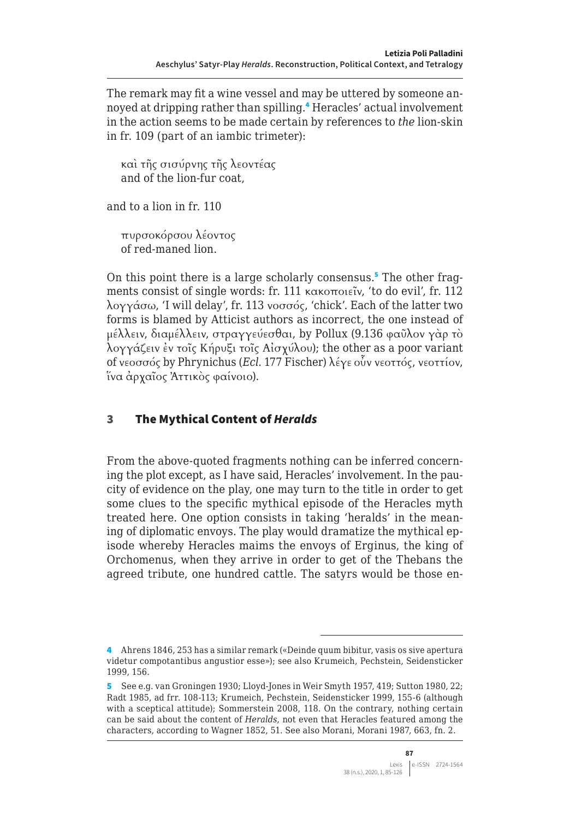The remark may fit a wine vessel and may be uttered by someone annoyed at dripping rather than spilling.<sup>4</sup> Heracles' actual involvement in the action seems to be made certain by references to *the* lion-skin in fr. 109 (part of an iambic trimeter):

καὶ τῆς σισύρνης τῆς λεοντέας and of the lion-fur coat,

and to a lion in fr. 110

πυρσοκόρσου λέοντος of red-maned lion.

On this point there is a large scholarly consensus.<sup>5</sup> The other fragments consist of single words: fr. 111 κακοποιεῖν, 'to do evil', fr. 112 λογγάσω, 'I will delay', fr. 113 νοσσός, 'chick'. Each of the latter two forms is blamed by Atticist authors as incorrect, the one instead of μέλλειν, διαμέλλειν, στραγγεύεσθαι, by Pollux (9.136 φαῦλον γὰρ τὸ λογγάζειν ἐν τοῖς Κήρυξι τοῖς Αἰσχύλου); the other as a poor variant of νεοσσός by Phrynichus (*Ecl.* 177 Fischer) λέγε οὖν νεοττός, νεοττίον, ἵνα ἀρχαῖος Ἀττικὸς φαίνοιο).

## 3 The Mythical Content of *Heralds*

From the above-quoted fragments nothing can be inferred concerning the plot except, as I have said, Heracles' involvement. In the paucity of evidence on the play, one may turn to the title in order to get some clues to the specific mythical episode of the Heracles myth treated here. One option consists in taking 'heralds' in the meaning of diplomatic envoys. The play would dramatize the mythical episode whereby Heracles maims the envoys of Erginus, the king of Orchomenus, when they arrive in order to get of the Thebans the agreed tribute, one hundred cattle. The satyrs would be those en-

<sup>4</sup> Ahrens 1846, 253 has a similar remark («Deinde quum bibitur, vasis os sive apertura videtur compotantibus angustior esse»); see also Krumeich, Pechstein, Seidensticker 1999, 156.

<sup>5</sup> See e.g. van Groningen 1930; Lloyd-Jones in Weir Smyth 1957, 419; Sutton 1980, 22; Radt 1985, ad frr. 108-113; Krumeich, Pechstein, Seidensticker 1999, 155-6 (although with a sceptical attitude); Sommerstein 2008, 118. On the contrary, nothing certain can be said about the content of *Heralds*, not even that Heracles featured among the characters, according to Wagner 1852, 51. See also Morani, Morani 1987, 663, fn. 2.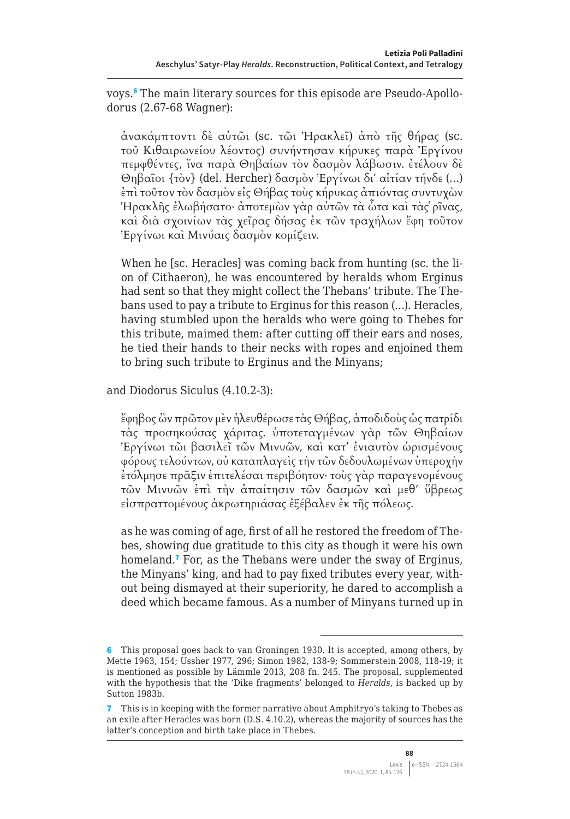voys.<sup>6</sup> The main literary sources for this episode are Pseudo-Apollodorus (2.67-68 Wagner):

ἀνακάμπτοντι δὲ αὐτῶι (sc. τῶι Ἡρακλεῖ) ἀπὸ τῆς θήρας (sc. τοῦ Κιθαιρωνείου λέοντος) συνήντησαν κήρυκες παρὰ Ἐργίνου πεμφθέντες, ἵνα παρὰ Θηβαίων τὸν δασμὸν λάβωσιν. ἐτέλουν δὲ Θηβαῖοι {τὸν} (del. Hercher) δασμὸν Ἐργίνωι δι' αἰτίαν τήνδε (…) ἐπὶ τοῦτον τὸν δασμὸν εἰς Θήβας τοὺς κήρυκας ἀπιόντας συντυχὼν Ἡρακλῆς ἐλωβήσατο· ἀποτεμὼν γὰρ αὐτῶν τὰ ὦτα καὶ τὰς ῥῖνας, καὶ διὰ σχοινίων τὰς χεῖρας δήσας ἐκ τῶν τραχήλων ἔφη τοῦτον Ἐργίνωι καὶ Μινύαις δασμὸν κομίζειν.

When he [sc. Heracles] was coming back from hunting (sc. the lion of Cithaeron), he was encountered by heralds whom Erginus had sent so that they might collect the Thebans' tribute. The Thebans used to pay a tribute to Erginus for this reason (…). Heracles, having stumbled upon the heralds who were going to Thebes for this tribute, maimed them: after cutting off their ears and noses, he tied their hands to their necks with ropes and enjoined them to bring such tribute to Erginus and the Minyans;

and Diodorus Siculus (4.10.2-3):

ἔφηβος ὢν πρῶτον μὲν ἠλευθέρωσε τὰς Θήβας, ἀποδιδοὺς ὡς πατρίδι τὰς προσηκούσας χάριτας. ὑποτεταγμένων γὰρ τῶν Θηβαίων Ἐργίνωι τῶι βασιλεῖ τῶν Μινυῶν, καὶ κατ' ἐνιαυτὸν ὡρισμένους φόρους τελούντων, οὐ καταπλαγεὶς τὴν τῶν δεδουλωμένων ὑπεροχὴν ἐτόλμησε πρᾶξιν ἐπιτελέσαι περιβόητον· τοὺς γὰρ παραγενομένους τῶν Μινυῶν ἐπὶ τὴν ἀπαίτησιν τῶν δασμῶν καὶ μεθ' ὕβρεως εἰσπραττομένους ἀκρωτηριάσας ἐξέβαλεν ἐκ τῆς πόλεως.

as he was coming of age, first of all he restored the freedom of Thebes, showing due gratitude to this city as though it were his own homeland.<sup>7</sup> For, as the Thebans were under the sway of Erginus, the Minyans' king, and had to pay fixed tributes every year, without being dismayed at their superiority, he dared to accomplish a deed which became famous. As a number of Minyans turned up in

<sup>6</sup> This proposal goes back to van Groningen 1930. It is accepted, among others, by Mette 1963, 154; Ussher 1977, 296; Simon 1982, 138-9; Sommerstein 2008, 118-19; it is mentioned as possible by Lämmle 2013, 208 fn. 245. The proposal, supplemented with the hypothesis that the 'Dike fragments' belonged to *Heralds*, is backed up by Sutton 1983b.

<sup>7</sup> This is in keeping with the former narrative about Amphitryo's taking to Thebes as an exile after Heracles was born (D.S. 4.10.2), whereas the majority of sources has the latter's conception and birth take place in Thebes.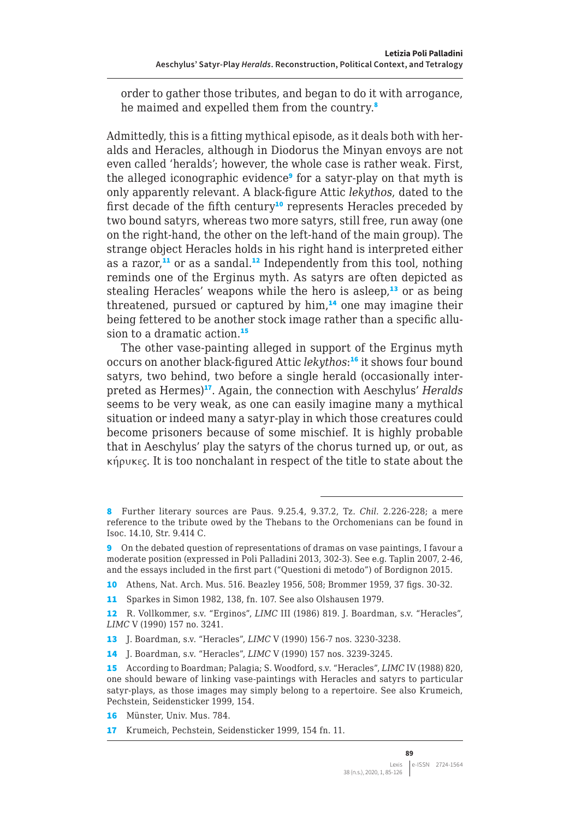order to gather those tributes, and began to do it with arrogance, he maimed and expelled them from the country.<sup>8</sup>

Admittedly, this is a fitting mythical episode, as it deals both with heralds and Heracles, although in Diodorus the Minyan envoys are not even called 'heralds'; however, the whole case is rather weak. First, the alleged iconographic evidence<sup>9</sup> for a satyr-play on that myth is only apparently relevant. A black-figure Attic *lekythos*, dated to the first decade of the fifth century<sup>10</sup> represents Heracles preceded by two bound satyrs, whereas two more satyrs, still free, run away (one on the right-hand, the other on the left-hand of the main group). The strange object Heracles holds in his right hand is interpreted either as a razor, $11$  or as a sandal.<sup>12</sup> Independently from this tool, nothing reminds one of the Erginus myth. As satyrs are often depicted as stealing Heracles' weapons while the hero is asleep, $13$  or as being threatened, pursued or captured by him,<sup>14</sup> one may imagine their being fettered to be another stock image rather than a specific allusion to a dramatic action.<sup>15</sup>

The other vase-painting alleged in support of the Erginus myth occurs on another black-figured Attic *lekythos*: <sup>16</sup> it shows four bound satyrs, two behind, two before a single herald (occasionally interpreted as Hermes)<sup>17</sup>. Again, the connection with Aeschylus' *Heralds* seems to be very weak, as one can easily imagine many a mythical situation or indeed many a satyr-play in which those creatures could become prisoners because of some mischief. It is highly probable that in Aeschylus' play the satyrs of the chorus turned up, or out, as κήρυκες. It is too nonchalant in respect of the title to state about the

<sup>8</sup> Further literary sources are Paus. 9.25.4, 9.37.2, Tz. *Chil.* 2.226-228; a mere reference to the tribute owed by the Thebans to the Orchomenians can be found in Isoc. 14.10, Str. 9.414 C.

<sup>9</sup> On the debated question of representations of dramas on vase paintings, I favour a moderate position (expressed in Poli Palladini 2013, 302-3). See e.g. Taplin 2007, 2-46, and the essays included in the first part ("Questioni di metodo") of Bordignon 2015.

<sup>10</sup> Athens, Nat. Arch. Mus. 516. Beazley 1956, 508; Brommer 1959, 37 figs. 30-32.

<sup>11</sup> Sparkes in Simon 1982, 138, fn. 107. See also Olshausen 1979.

<sup>12</sup> R. Vollkommer, s.v. "Erginos", *LIMC* III (1986) 819. J. Boardman, s.v. "Heracles", *LIMC* V (1990) 157 no. 3241.

<sup>13</sup> J. Boardman, s.v. "Heracles", *LIMC* V (1990) 156-7 nos. 3230-3238.

<sup>14</sup> J. Boardman, s.v. "Heracles", *LIMC* V (1990) 157 nos. 3239-3245.

<sup>15</sup> According to Boardman; Palagia; S. Woodford, s.v. "Heracles", *LIMC* IV (1988) 820, one should beware of linking vase-paintings with Heracles and satyrs to particular satyr-plays, as those images may simply belong to a repertoire. See also Krumeich, Pechstein, Seidensticker 1999, 154.

<sup>16</sup> Münster, Univ. Mus. 784.

<sup>17</sup> Krumeich, Pechstein, Seidensticker 1999, 154 fn. 11.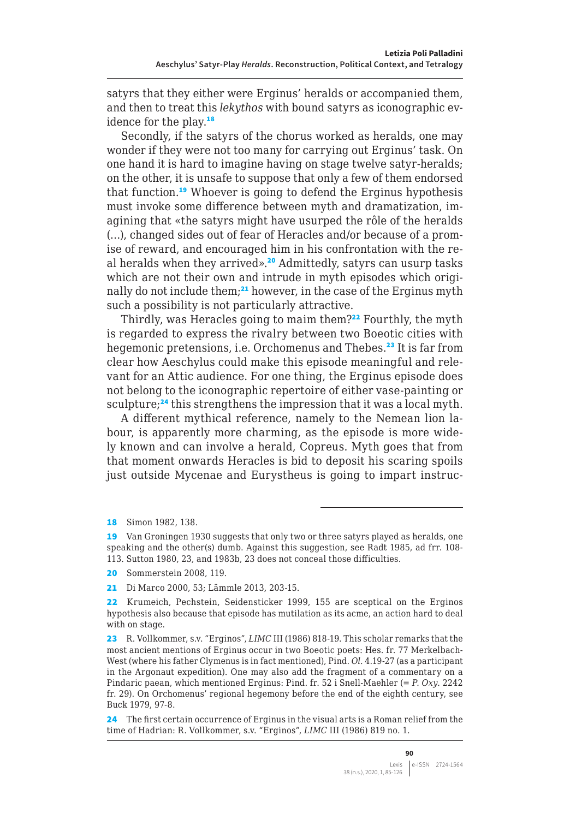satyrs that they either were Erginus' heralds or accompanied them, and then to treat this *lekythos* with bound satyrs as iconographic evidence for the play.<sup>18</sup>

Secondly, if the satyrs of the chorus worked as heralds, one may wonder if they were not too many for carrying out Erginus' task. On one hand it is hard to imagine having on stage twelve satyr-heralds; on the other, it is unsafe to suppose that only a few of them endorsed that function.<sup>19</sup> Whoever is going to defend the Erginus hypothesis must invoke some difference between myth and dramatization, imagining that «the satyrs might have usurped the rôle of the heralds (…), changed sides out of fear of Heracles and/or because of a promise of reward, and encouraged him in his confrontation with the real heralds when they arrived».<sup>20</sup> Admittedly, satyrs can usurp tasks which are not their own and intrude in myth episodes which originally do not include them;<sup>21</sup> however, in the case of the Erginus myth such a possibility is not particularly attractive.

Thirdly, was Heracles going to maim them?<sup>22</sup> Fourthly, the myth is regarded to express the rivalry between two Boeotic cities with hegemonic pretensions, i.e. Orchomenus and Thebes.<sup>23</sup> It is far from clear how Aeschylus could make this episode meaningful and relevant for an Attic audience. For one thing, the Erginus episode does not belong to the iconographic repertoire of either vase-painting or sculpture;<sup>24</sup> this strengthens the impression that it was a local myth.

A different mythical reference, namely to the Nemean lion labour, is apparently more charming, as the episode is more widely known and can involve a herald, Copreus. Myth goes that from that moment onwards Heracles is bid to deposit his scaring spoils just outside Mycenae and Eurystheus is going to impart instruc-

18 Simon 1982, 138.

<sup>19</sup> Van Groningen 1930 suggests that only two or three satyrs played as heralds, one speaking and the other(s) dumb. Against this suggestion, see Radt 1985, ad frr. 108- 113. Sutton 1980, 23, and 1983b, 23 does not conceal those difficulties.

<sup>20</sup> Sommerstein 2008, 119.

<sup>21</sup> Di Marco 2000, 53; Lämmle 2013, 203-15.

<sup>22</sup> Krumeich, Pechstein, Seidensticker 1999, 155 are sceptical on the Erginos hypothesis also because that episode has mutilation as its acme, an action hard to deal with on stage.

<sup>23</sup> R. Vollkommer, s.v. "Erginos", *LIMC* III (1986) 818-19. This scholar remarks that the most ancient mentions of Erginus occur in two Boeotic poets: Hes. fr. 77 Merkelbach-West (where his father Clymenus is in fact mentioned), Pind. *Ol*. 4.19-27 (as a participant in the Argonaut expedition). One may also add the fragment of a commentary on a Pindaric paean, which mentioned Erginus: Pind. fr. 52 i Snell-Maehler (= *P. Oxy.* 2242 fr. 29). On Orchomenus' regional hegemony before the end of the eighth century, see Buck 1979, 97-8.

<sup>24</sup> The first certain occurrence of Erginus in the visual arts is a Roman relief from the time of Hadrian: R. Vollkommer, s.v. "Erginos", *LIMC* III (1986) 819 no. 1.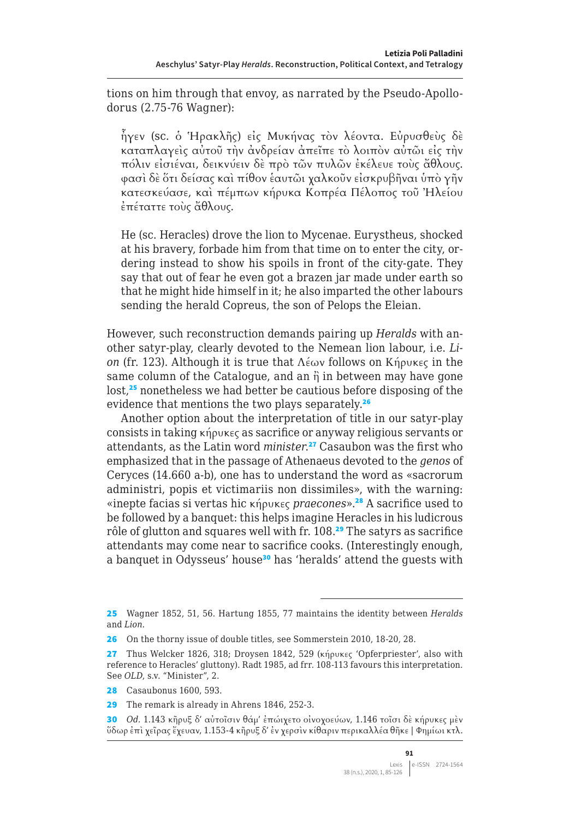tions on him through that envoy, as narrated by the Pseudo-Apollodorus (2.75-76 Wagner):

ἦγεν (sc. ὁ Ἡρακλῆς) εἰς Μυκήνας τὸν λέοντα. Εὐρυσθεὺς δὲ καταπλαγεὶς αὐτοῦ τὴν ἀνδρείαν ἀπεῖπε τὸ λοιπὸν αὐτῶι εἰς τὴν πόλιν εἰσιέναι, δεικνύειν δὲ πρὸ τῶν πυλῶν ἐκέλευε τοὺς ἄθλους. φασὶ δὲ ὅτι δείσας καὶ πίθον ἑαυτῶι χαλκοῦν εἰσκρυβῆναι ὑπὸ γῆν κατεσκεύασε, καὶ πέμπων κήρυκα Κοπρέα Πέλοπος τοῦ Ἠλείου ἐπέταττε τοὺς ἄθλους.

He (sc. Heracles) drove the lion to Mycenae. Eurystheus, shocked at his bravery, forbade him from that time on to enter the city, ordering instead to show his spoils in front of the city-gate. They say that out of fear he even got a brazen jar made under earth so that he might hide himself in it; he also imparted the other labours sending the herald Copreus, the son of Pelops the Eleian.

However, such reconstruction demands pairing up *Heralds* with another satyr-play, clearly devoted to the Nemean lion labour, i.e. *Lion* (fr. 123). Although it is true that Λέων follows on Κήρυκες in the same column of the Catalogue, and an  $\hat{\eta}$  in between may have gone lost,<sup>25</sup> nonetheless we had better be cautious before disposing of the evidence that mentions the two plays separately.<sup>26</sup>

Another option about the interpretation of title in our satyr-play consists in taking κήρυκες as sacrifice or anyway religious servants or attendants, as the Latin word *minister*. <sup>27</sup> Casaubon was the first who emphasized that in the passage of Athenaeus devoted to the *genos* of Ceryces (14.660 a-b), one has to understand the word as «sacrorum administri, popis et victimariis non dissimiles», with the warning: «inepte facias si vertas hic κήρυκες *praecones*».<sup>28</sup> A sacrifice used to be followed by a banquet: this helps imagine Heracles in his ludicrous rôle of glutton and squares well with fr. 108.<sup>29</sup> The satyrs as sacrifice attendants may come near to sacrifice cooks. (Interestingly enough, a banquet in Odysseus' house<sup>30</sup> has 'heralds' attend the guests with

<sup>25</sup> Wagner 1852, 51, 56. Hartung 1855, 77 maintains the identity between *Heralds* and *Lion*.

<sup>26</sup> On the thorny issue of double titles, see Sommerstein 2010, 18-20, 28.

<sup>27</sup> Thus Welcker 1826, 318; Droysen 1842, 529 (κήρυκες 'Opferpriester', also with reference to Heracles' gluttony). Radt 1985, ad frr. 108-113 favours this interpretation. See *OLD*, s.v. "Minister", 2.

<sup>28</sup> Casaubonus 1600, 593.

<sup>29</sup> The remark is already in Ahrens 1846, 252-3.

<sup>30</sup> *Od.* 1.143 κῆρυξ δ' αὐτοῖσιν θάμ' ἐπώιχετο οἰνοχοεύων, 1.146 τοῖσι δὲ κήρυκες μὲν ὕδωρ ἐπὶ χεῖρας ἔχευαν, 1.153-4 κῆρυξ δ' ἐν χερσὶν κίθαριν περικαλλέα θῆκε | Φημίωι κτλ.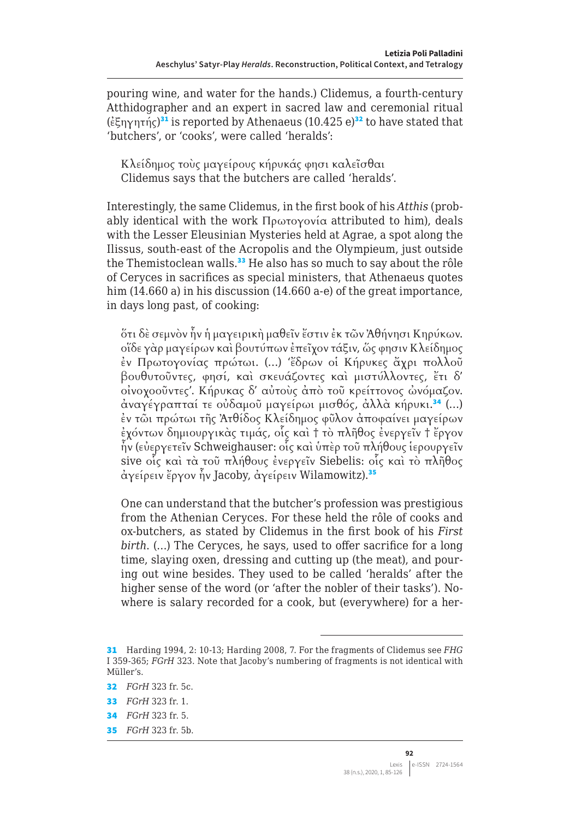pouring wine, and water for the hands.) Clidemus, a fourth-century Atthidographer and an expert in sacred law and ceremonial ritual (έξηγητής)<sup>31</sup> is reported by Athenaeus (10.425 e)<sup>32</sup> to have stated that 'butchers', or 'cooks', were called 'heralds':

Κλείδημος τοὺς μαγείρους κήρυκάς φησι καλεῖσθαι Clidemus says that the butchers are called 'heralds'.

Interestingly, the same Clidemus, in the first book of his *Atthis* (probably identical with the work Πρωτογονία attributed to him), deals with the Lesser Eleusinian Mysteries held at Agrae, a spot along the Ilissus, south-east of the Acropolis and the Olympieum, just outside the Themistoclean walls.<sup>33</sup> He also has so much to say about the rôle of Ceryces in sacrifices as special ministers, that Athenaeus quotes him (14.660 a) in his discussion (14.660 a-e) of the great importance, in days long past, of cooking:

ὅτι δὲ σεμνὸν ἦν ἡ μαγειρικὴ μαθεῖν ἔστιν ἐκ τῶν Ἀθήνησι Κηρύκων. οἵδε γὰρ μαγείρων καὶ βουτύπων ἐπεῖχον τάξιν, ὥς φησιν Κλείδημος ἐν Πρωτογονίας πρώτωι. (…) 'ἔδρων οἱ Κήρυκες ἄχρι πολλοῦ βουθυτοῦντες, φησί, καὶ σκευάζοντες καὶ μιστύλλοντες, ἔτι δ' οἰνοχοοῦντες'. Κήρυκας δ' αὐτοὺς ἀπὸ τοῦ κρείττονος ὠνόμαζον. άναγέγραπταί τε οὐδαμοῦ μαγείρωι μισθός, ἀλλὰ κήρυκι.<sup>34</sup> (...) ἐν τῶι πρώτωι τῆς Ἀτθίδος Κλείδημος φῦλον ἀποφαίνει μαγείρων ἐχόντων δημιουργικὰς τιμάς, οἷς καὶ † τὸ πλῆθος ἐνεργεῖν † ἔργον ἦν (εὐεργετεῖν Schweighauser: οἷς καὶ ὑπὲρ τοῦ πλήθους ἱερουργεῖν sive οἷς καὶ τὰ τοῦ πλήθους ἐνεργεῖν Siebelis: οἷς καὶ τὸ πλῆθος άγείρειν ἔργον ἦν Jacoby, ἀγείρειν Wilamowitz).<sup>35</sup>

One can understand that the butcher's profession was prestigious from the Athenian Ceryces. For these held the rôle of cooks and ox-butchers, as stated by Clidemus in the first book of his *First birth*. (…) The Ceryces, he says, used to offer sacrifice for a long time, slaying oxen, dressing and cutting up (the meat), and pouring out wine besides. They used to be called 'heralds' after the higher sense of the word (or 'after the nobler of their tasks'). Nowhere is salary recorded for a cook, but (everywhere) for a her-

<sup>31</sup> Harding 1994, 2: 10-13; Harding 2008, 7. For the fragments of Clidemus see *FHG* I 359-365; *FGrH* 323. Note that Jacoby's numbering of fragments is not identical with Müller's.

<sup>32</sup> *FGrH* 323 fr. 5c.

<sup>33</sup> *FGrH* 323 fr. 1.

<sup>34</sup> *FGrH* 323 fr. 5.

<sup>35</sup> *FGrH* 323 fr. 5b.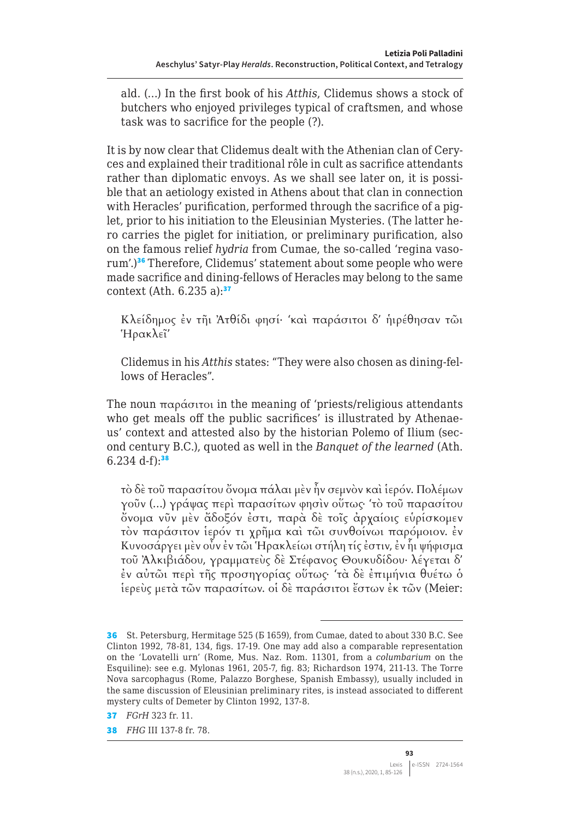ald. (…) In the first book of his *Atthis*, Clidemus shows a stock of butchers who enjoyed privileges typical of craftsmen, and whose task was to sacrifice for the people (?).

It is by now clear that Clidemus dealt with the Athenian clan of Ceryces and explained their traditional rôle in cult as sacrifice attendants rather than diplomatic envoys. As we shall see later on, it is possible that an aetiology existed in Athens about that clan in connection with Heracles' purification, performed through the sacrifice of a piglet, prior to his initiation to the Eleusinian Mysteries. (The latter hero carries the piglet for initiation, or preliminary purification, also on the famous relief *hydria* from Cumae, the so-called 'regina vasorum'.)<sup>36</sup> Therefore, Clidemus' statement about some people who were made sacrifice and dining-fellows of Heracles may belong to the same context (Ath.  $6.235$  a): $37$ 

Κλείδημος ἐν τῆι Ἀτθίδι φησί· 'καὶ παράσιτοι δ' ἡιρέθησαν τῶι Ἡρακλεῖ'

Clidemus in his *Atthis* states: "They were also chosen as dining-fellows of Heracles".

The noun παράσιτοι in the meaning of 'priests/religious attendants who get meals off the public sacrifices' is illustrated by Athenaeus' context and attested also by the historian Polemo of Ilium (second century B.C.), quoted as well in the *Banquet of the learned* (Ath.  $6.234$  d-f):<sup>38</sup>

τὸ δὲ τοῦ παρασίτου ὄνομα πάλαι μὲν ἦν σεμνὸν καὶ ἱερόν. Πολέμων γοῦν (…) γράψας περὶ παρασίτων φησὶν οὕτως· 'τὸ τοῦ παρασίτου ὄνομα νῦν μὲν ἄδοξόν ἐστι, παρὰ δὲ τοῖς ἀρχαίοις εὑρίσκομεν τὸν παράσιτον ἱερόν τι χρῆμα καὶ τῶι συνθοίνωι παρόμοιον. ἐν Κυνοσάργει μὲν οὖν ἐν τῶι Ἡρακλείωι στήλη τίς ἐστιν, ἐν ἧι ψήφισμα τοῦ Ἀλκιβιάδου, γραμματεὺς δὲ Στέφανος Θουκυδίδου· λέγεται δ' ἐν αὐτῶι περὶ τῆς προσηγορίας οὕτως· 'τὰ δὲ ἐπιμήνια θυέτω ὁ ἱερεὺς μετὰ τῶν παρασίτων. οἱ δὲ παράσιτοι ἔστων ἐκ τῶν (Meier:

<sup>36</sup> St. Petersburg, Hermitage 525 (E 1659), from Cumae, dated to about 330 B.C. See Clinton 1992, 78-81, 134, figs. 17-19. One may add also a comparable representation on the 'Lovatelli urn' (Rome, Mus. Naz. Rom. 11301, from a *columbarium* on the Esquiline): see e.g. Mylonas 1961, 205-7, fig. 83; Richardson 1974, 211-13. The Torre Nova sarcophagus (Rome, Palazzo Borghese, Spanish Embassy), usually included in the same discussion of Eleusinian preliminary rites, is instead associated to different mystery cults of Demeter by Clinton 1992, 137-8.

<sup>37</sup> *FGrH* 323 fr. 11.

<sup>38</sup> *FHG* III 137-8 fr. 78.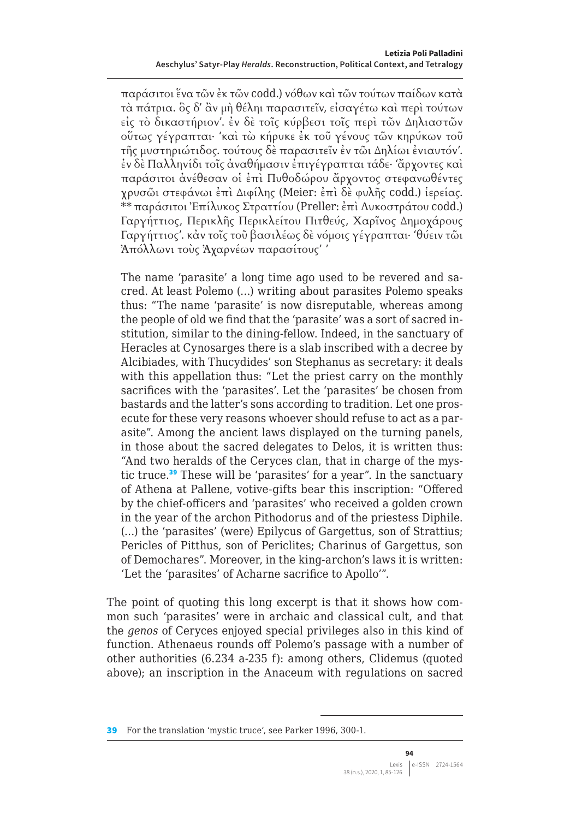παράσιτοι ἕνα τῶν ἐκ τῶν codd.) νόθων καὶ τῶν τούτων παίδων κατὰ τὰ πάτρια. ὃς δ' ἂν μὴ θέληι παρασιτεῖν, εἰσαγέτω καὶ περὶ τούτων εἰς τὸ δικαστήριον'. ἐν δὲ τοῖς κύρβεσι τοῖς περὶ τῶν Δηλιαστῶν οὕτως γέγραπται· 'καὶ τὼ κήρυκε ἐκ τοῦ γένους τῶν κηρύκων τοῦ τῆς μυστηριώτιδος. τούτους δὲ παρασιτεῖν ἐν τῶι Δηλίωι ἐνιαυτόν'. ἐν δὲ Παλληνίδι τοῖς ἀναθήμασιν ἐπιγέγραπται τάδε· 'ἄρχοντες καὶ παράσιτοι ἀνέθεσαν οἱ ἐπὶ Πυθοδώρου ἄρχοντος στεφανωθέντες χρυσῶι στεφάνωι ἐπὶ Διφίλης (Meier: ἐπὶ δὲ φυλῆς codd.) ἱερείας. \*\* παράσιτοι Ἐπίλυκος Στραττίου (Preller: ἐπὶ Λυκοστράτου codd.) Γαργήττιος, Περικλῆς Περικλείτου Πιτθεύς, Χαρῖνος Δημοχάρους Γαργήττιος'. κἀν τοῖς τοῦ βασιλέως δὲ νόμοις γέγραπται· 'θύειν τῶι Ἀπόλλωνι τοὺς Ἀχαρνέων παρασίτους' '

The name 'parasite' a long time ago used to be revered and sacred. At least Polemo (…) writing about parasites Polemo speaks thus: "The name 'parasite' is now disreputable, whereas among the people of old we find that the 'parasite' was a sort of sacred institution, similar to the dining-fellow. Indeed, in the sanctuary of Heracles at Cynosarges there is a slab inscribed with a decree by Alcibiades, with Thucydides' son Stephanus as secretary: it deals with this appellation thus: "Let the priest carry on the monthly sacrifices with the 'parasites'. Let the 'parasites' be chosen from bastards and the latter's sons according to tradition. Let one prosecute for these very reasons whoever should refuse to act as a parasite". Among the ancient laws displayed on the turning panels, in those about the sacred delegates to Delos, it is written thus: "And two heralds of the Ceryces clan, that in charge of the mystic truce.<sup>39</sup> These will be 'parasites' for a year". In the sanctuary of Athena at Pallene, votive-gifts bear this inscription: "Offered by the chief-officers and 'parasites' who received a golden crown in the year of the archon Pithodorus and of the priestess Diphile. (…) the 'parasites' (were) Epilycus of Gargettus, son of Strattius; Pericles of Pitthus, son of Periclites; Charinus of Gargettus, son of Demochares". Moreover, in the king-archon's laws it is written: 'Let the 'parasites' of Acharne sacrifice to Apollo'".

The point of quoting this long excerpt is that it shows how common such 'parasites' were in archaic and classical cult, and that the *genos* of Ceryces enjoyed special privileges also in this kind of function. Athenaeus rounds off Polemo's passage with a number of other authorities (6.234 a-235 f): among others, Clidemus (quoted above); an inscription in the Anaceum with regulations on sacred

<sup>39</sup> For the translation 'mystic truce', see Parker 1996, 300-1.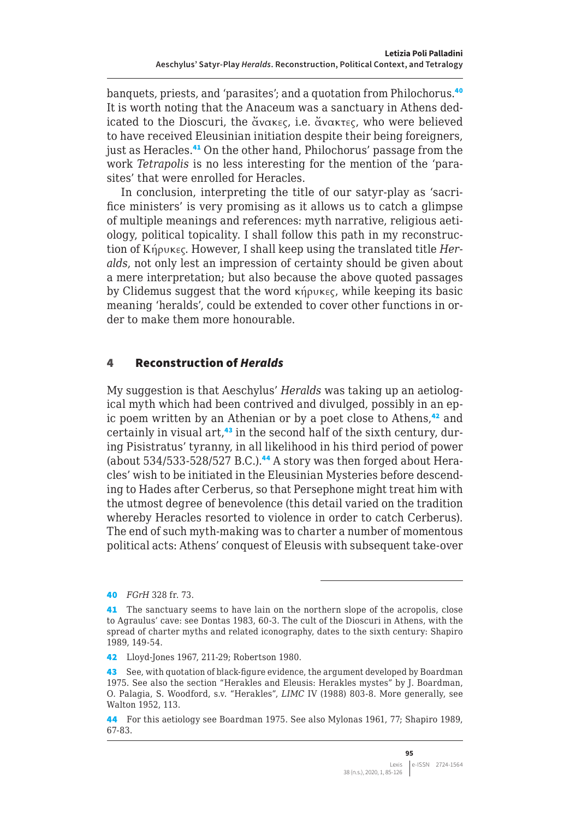banquets, priests, and 'parasites'; and a quotation from Philochorus.<sup>40</sup> It is worth noting that the Anaceum was a sanctuary in Athens dedicated to the Dioscuri, the ἄνακες, i.e. ἄνακτες, who were believed to have received Eleusinian initiation despite their being foreigners, just as Heracles.<sup>41</sup> On the other hand, Philochorus' passage from the work *Tetrapolis* is no less interesting for the mention of the 'parasites' that were enrolled for Heracles.

In conclusion, interpreting the title of our satyr-play as 'sacrifice ministers' is very promising as it allows us to catch a glimpse of multiple meanings and references: myth narrative, religious aetiology, political topicality. I shall follow this path in my reconstruction of Κήρυκες. However, I shall keep using the translated title *Heralds*, not only lest an impression of certainty should be given about a mere interpretation; but also because the above quoted passages by Clidemus suggest that the word κήρυκες, while keeping its basic meaning 'heralds', could be extended to cover other functions in order to make them more honourable.

#### 4 Reconstruction of *Heralds*

My suggestion is that Aeschylus' *Heralds* was taking up an aetiological myth which had been contrived and divulged, possibly in an epic poem written by an Athenian or by a poet close to Athens,<sup>42</sup> and certainly in visual  $art^{\{43\}}$  in the second half of the sixth century, during Pisistratus' tyranny, in all likelihood in his third period of power (about  $534/533-528/527$  B.C.).<sup>44</sup> A story was then forged about Heracles' wish to be initiated in the Eleusinian Mysteries before descending to Hades after Cerberus, so that Persephone might treat him with the utmost degree of benevolence (this detail varied on the tradition whereby Heracles resorted to violence in order to catch Cerberus). The end of such myth-making was to charter a number of momentous political acts: Athens' conquest of Eleusis with subsequent take-over

<sup>40</sup> *FGrH* 328 fr. 73.

<sup>41</sup> The sanctuary seems to have lain on the northern slope of the acropolis, close to Agraulus' cave: see Dontas 1983, 60-3. The cult of the Dioscuri in Athens, with the spread of charter myths and related iconography, dates to the sixth century: Shapiro 1989, 149-54.

<sup>42</sup> Lloyd-Jones 1967, 211-29; Robertson 1980.

<sup>43</sup> See, with quotation of black-figure evidence, the argument developed by Boardman 1975. See also the section "Herakles and Eleusis: Herakles mystes" by J. Boardman, O. Palagia, S. Woodford, s.v. "Herakles", *LIMC* IV (1988) 803-8. More generally, see Walton 1952, 113.

<sup>44</sup> For this aetiology see Boardman 1975. See also Mylonas 1961, 77; Shapiro 1989, 67-83.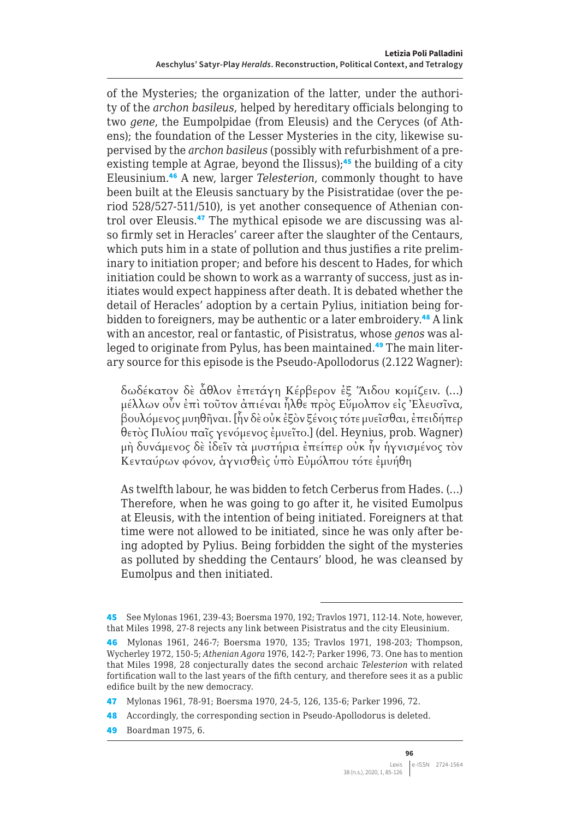of the Mysteries; the organization of the latter, under the authority of the *archon basileus*, helped by hereditary officials belonging to two *gene*, the Eumpolpidae (from Eleusis) and the Ceryces (of Athens); the foundation of the Lesser Mysteries in the city, likewise supervised by the *archon basileus* (possibly with refurbishment of a preexisting temple at Agrae, beyond the Ilissus);<sup>45</sup> the building of a city Eleusinium.<sup>46</sup> A new, larger *Telesterion*, commonly thought to have been built at the Eleusis sanctuary by the Pisistratidae (over the period 528/527-511/510), is yet another consequence of Athenian control over Eleusis.<sup>47</sup> The mythical episode we are discussing was also firmly set in Heracles' career after the slaughter of the Centaurs, which puts him in a state of pollution and thus justifies a rite preliminary to initiation proper; and before his descent to Hades, for which initiation could be shown to work as a warranty of success, just as initiates would expect happiness after death. It is debated whether the detail of Heracles' adoption by a certain Pylius, initiation being forbidden to foreigners, may be authentic or a later embroidery.<sup>48</sup> A link with an ancestor, real or fantastic, of Pisistratus, whose *genos* was alleged to originate from Pylus, has been maintained.<sup>49</sup> The main literary source for this episode is the Pseudo-Apollodorus (2.122 Wagner):

δωδέκατον δὲ ἆθλον ἐπετάγη Κέρβερον ἐξ Ἅιδου κομίζειν. (…) μέλλων οὖν ἐπὶ τοῦτον ἀπιέναι ἦλθε πρὸς Εὔμολπον εἰς Ἐλευσῖνα, βουλόμενος μυηθῆναι. [ἦν δὲ οὐκ ἐξὸν ξένοις τότε μυεῖσθαι, ἐπειδήπερ θετὸς Πυλίου παῖς γενόμενος ἐμυεῖτο.] (del. Heynius, prob. Wagner) μὴ δυνάμενος δὲ ἰδεῖν τὰ μυστήρια ἐπείπερ οὐκ ἦν ἡγνισμένος τὸν Κενταύρων φόνον, ἁγνισθεὶς ὑπὸ Εὐμόλπου τότε ἐμυήθη

As twelfth labour, he was bidden to fetch Cerberus from Hades. (…) Therefore, when he was going to go after it, he visited Eumolpus at Eleusis, with the intention of being initiated. Foreigners at that time were not allowed to be initiated, since he was only after being adopted by Pylius. Being forbidden the sight of the mysteries as polluted by shedding the Centaurs' blood, he was cleansed by Eumolpus and then initiated.

49 Boardman 1975, 6.

<sup>45</sup> See Mylonas 1961, 239-43; Boersma 1970, 192; Travlos 1971, 112-14. Note, however, that Miles 1998, 27-8 rejects any link between Pisistratus and the city Eleusinium.

<sup>46</sup> Mylonas 1961, 246-7; Boersma 1970, 135; Travlos 1971, 198-203; Thompson, Wycherley 1972, 150-5; *Athenian Agora* 1976, 142-7; Parker 1996, 73. One has to mention that Miles 1998, 28 conjecturally dates the second archaic *Telesterion* with related fortification wall to the last years of the fifth century, and therefore sees it as a public edifice built by the new democracy.

<sup>47</sup> Mylonas 1961, 78-91; Boersma 1970, 24-5, 126, 135-6; Parker 1996, 72.

<sup>48</sup> Accordingly, the corresponding section in Pseudo-Apollodorus is deleted.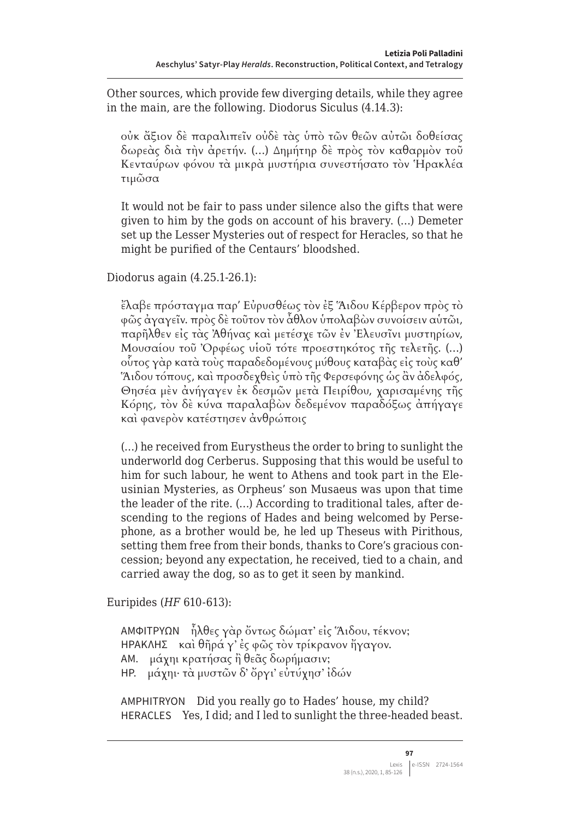Other sources, which provide few diverging details, while they agree in the main, are the following. Diodorus Siculus (4.14.3):

οὐκ ἄξιον δὲ παραλιπεῖν οὐδὲ τὰς ὑπὸ τῶν θεῶν αὐτῶι δοθείσας δωρεὰς διὰ τὴν ἀρετήν. (…) Δημήτηρ δὲ πρὸς τὸν καθαρμὸν τοῦ Κενταύρων φόνου τὰ μικρὰ μυστήρια συνεστήσατο τὸν Ἡρακλέα τιμῶσα

It would not be fair to pass under silence also the gifts that were given to him by the gods on account of his bravery. (…) Demeter set up the Lesser Mysteries out of respect for Heracles, so that he might be purified of the Centaurs' bloodshed.

Diodorus again (4.25.1-26.1):

ἔλαβε πρόσταγμα παρ' Εὐρυσθέως τὸν ἐξ Ἅιδου Κέρβερον πρὸς τὸ φῶς ἀγαγεῖν. πρὸς δὲ τοῦτον τὸν ἆθλον ὑπολαβὼν συνοίσειν αὑτῶι, παρῆλθεν εἰς τὰς Ἀθήνας καὶ μετέσχε τῶν ἐν Ἐλευσῖνι μυστηρίων, Μουσαίου τοῦ Ὀρφέως υἱοῦ τότε προεστηκότος τῆς τελετῆς. (…) οὗτος γὰρ κατὰ τοὺς παραδεδομένους μύθους καταβὰς εἰς τοὺς καθ' Ἅιδου τόπους, καὶ προσδεχθεὶς ὑπὸ τῆς Φερσεφόνης ὡς ἂν ἀδελφός, Θησέα μὲν ἀνήγαγεν ἐκ δεσμῶν μετὰ Πειρίθου, χαρισαμένης τῆς Κόρης, τὸν δὲ κύνα παραλαβὼν δεδεμένον παραδόξως ἀπήγαγε καὶ φανερὸν κατέστησεν ἀνθρώποις

(…) he received from Eurystheus the order to bring to sunlight the underworld dog Cerberus. Supposing that this would be useful to him for such labour, he went to Athens and took part in the Eleusinian Mysteries, as Orpheus' son Musaeus was upon that time the leader of the rite. (…) According to traditional tales, after descending to the regions of Hades and being welcomed by Persephone, as a brother would be, he led up Theseus with Pirithous, setting them free from their bonds, thanks to Core's gracious concession; beyond any expectation, he received, tied to a chain, and carried away the dog, so as to get it seen by mankind.

Euripides (*HF* 610-613):

ΑΜΦΙΤΡΥΩΝ ἦλθες γὰρ ὄντως δώματ' εἰς Ἅιδου, τέκνον; ΗΡΑΚΛΗΣ καὶ θῆρά γ' ἐς φῶς τὸν τρίκρανον ἤγαγον. ΑΜ. μάχηι κρατήσας ἢ θεᾶς δωρήμασιν; ΗΡ. μάχηι· τὰ μυστῶν δ' ὄργι' εὐτύχησ' ἰδών

AMPHITRYON Did you really go to Hades' house, my child? HERACLES Yes, I did; and I led to sunlight the three-headed beast.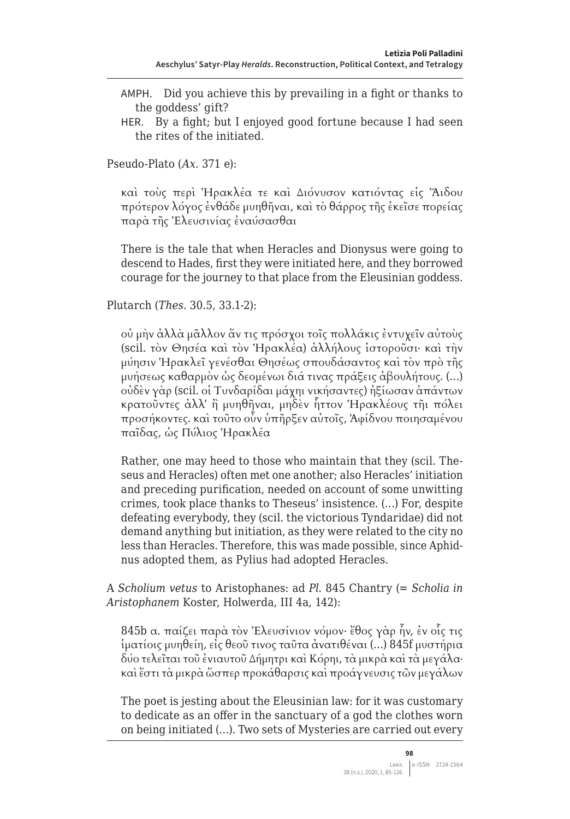- AMPH. Did you achieve this by prevailing in a fight or thanks to the goddess' gift?
- HER. By a fight; but I enjoyed good fortune because I had seen the rites of the initiated.

Pseudo-Plato (*Ax.* 371 e):

καὶ τοὺς περὶ Ἡρακλέα τε καὶ Διόνυσον κατιόντας εἰς Ἅιδου πρότερον λόγος ἐνθάδε μυηθῆναι, καὶ τὸ θάρρος τῆς ἐκεῖσε πορείας παρὰ τῆς Ἐλευσινίας ἐναύσασθαι

There is the tale that when Heracles and Dionysus were going to descend to Hades, first they were initiated here, and they borrowed courage for the journey to that place from the Eleusinian goddess.

Plutarch (*Thes.* 30.5, 33.1-2):

οὐ μὴν ἀλλὰ μᾶλλον ἄν τις πρόσχοι τοῖς πολλάκις ἐντυχεῖν αὐτοὺς (scil. τὸν Θησέα καὶ τὸν Ἡρακλέα) ἀλλήλους ἱστοροῦσι· καὶ τὴν μύησιν Ἡρακλεῖ γενέσθαι Θησέως σπουδάσαντος καὶ τὸν πρὸ τῆς μυήσεως καθαρμὸν ὡς δεομένωι διά τινας πράξεις ἀβουλήτους. (…) οὐδὲν γὰρ (scil. οἱ Τυνδαρίδαι μάχηι νικήσαντες) ἠξίωσαν ἁπάντων κρατοῦντες ἀλλ' ἢ μυηθῆναι, μηδὲν ἧττον Ἡρακλέους τῆι πόλει προσήκοντες. καὶ τοῦτο οὖν ὑπῆρξεν αὐτοῖς, Ἀφίδνου ποιησαμένου παῖδας, ὡς Πύλιος Ἡρακλέα

Rather, one may heed to those who maintain that they (scil. Theseus and Heracles) often met one another; also Heracles' initiation and preceding purification, needed on account of some unwitting crimes, took place thanks to Theseus' insistence. (…) For, despite defeating everybody, they (scil. the victorious Tyndaridae) did not demand anything but initiation, as they were related to the city no less than Heracles. Therefore, this was made possible, since Aphidnus adopted them, as Pylius had adopted Heracles.

A *Scholium vetus* to Aristophanes: ad *Pl.* 845 Chantry (= *Scholia in Aristophanem* Koster, Holwerda, III 4a, 142):

845b α. παίζει παρὰ τὸν Ἐλευσίνιον νόμον· ἔθος γὰρ ἦν, ἐν οἷς τις ἱματίοις μυηθείη, εἰς θεοῦ τινος ταῦτα ἀνατιθέναι (…) 845f μυστήρια δύο τελεῖται τοῦ ἐνιαυτοῦ Δήμητρι καὶ Κόρηι, τὰ μικρὰ καὶ τὰ μεγάλα· καὶἔστι τὰ μικρὰ ὥσπερ προκάθαρσις καὶ προάγνευσις τῶν μεγάλων

The poet is jesting about the Eleusinian law: for it was customary to dedicate as an offer in the sanctuary of a god the clothes worn on being initiated (…). Two sets of Mysteries are carried out every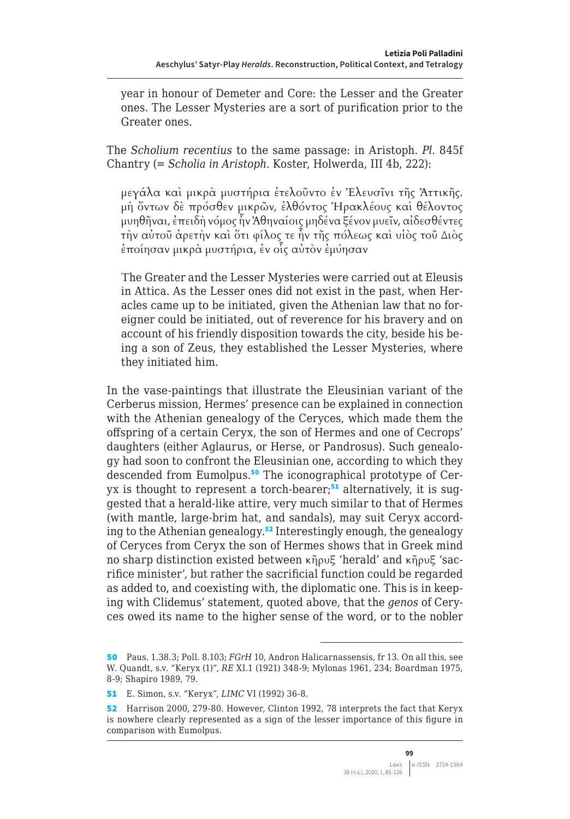year in honour of Demeter and Core: the Lesser and the Greater ones. The Lesser Mysteries are a sort of purification prior to the Greater ones.

The *Scholium recentius* to the same passage: in Aristoph. *Pl.* 845f Chantry (= *Scholia in Aristoph.* Koster, Holwerda, III 4b, 222):

μεγάλα καὶ μικρὰ μυστήρια ἐτελοῦντο ἐν Ἐλευσῖνι τῆς Ἀττικῆς. μὴ ὄντων δὲ πρόσθεν μικρῶν, ἐλθόντος Ἡρακλέους καὶ θέλοντος μυηθῆναι, ἐπειδὴ νόμος ἦν Ἀθηναίοις μηδένα ξένον μυεῖν, αἰδεσθέντες τὴν αὐτοῦ ἀρετὴν καὶ ὅτι φίλος τε ἦν τῆς πόλεως καὶ υἱὸς τοῦ Διὸς ἐποίησαν μικρὰ μυστήρια, ἐν οἷς αὐτὸν ἐμύησαν

Τhe Greater and the Lesser Mysteries were carried out at Eleusis in Attica. As the Lesser ones did not exist in the past, when Heracles came up to be initiated, given the Athenian law that no foreigner could be initiated, out of reverence for his bravery and on account of his friendly disposition towards the city, beside his being a son of Zeus, they established the Lesser Mysteries, where they initiated him.

In the vase-paintings that illustrate the Eleusinian variant of the Cerberus mission, Hermes' presence can be explained in connection with the Athenian genealogy of the Ceryces, which made them the offspring of a certain Ceryx, the son of Hermes and one of Cecrops' daughters (either Aglaurus, or Herse, or Pandrosus). Such genealogy had soon to confront the Eleusinian one, according to which they descended from Eumolpus.50 The iconographical prototype of Ceryx is thought to represent a torch-bearer; $51$  alternatively, it is suggested that a herald-like attire, very much similar to that of Hermes (with mantle, large-brim hat, and sandals), may suit Ceryx according to the Athenian genealogy.<sup>52</sup> Interestingly enough, the genealogy of Ceryces from Ceryx the son of Hermes shows that in Greek mind no sharp distinction existed between κῆρυξ 'herald' and κῆρυξ 'sacrifice minister', but rather the sacrificial function could be regarded as added to, and coexisting with, the diplomatic one. This is in keeping with Clidemus' statement, quoted above, that the *genos* of Ceryces owed its name to the higher sense of the word, or to the nobler

<sup>50</sup> Paus. 1.38.3; Poll. 8.103; *FGrH* 10, Andron Halicarnassensis, fr 13. On all this, see W. Quandt, s.v. "Keryx (1)", *RE* XI.1 (1921) 348-9; Mylonas 1961, 234; Boardman 1975, 8-9; Shapiro 1989, 79.

<sup>51</sup> E. Simon, s.v. "Keryx", *LIMC* VI (1992) 36-8.

<sup>52</sup> Harrison 2000, 279-80. However, Clinton 1992, 78 interprets the fact that Keryx is nowhere clearly represented as a sign of the lesser importance of this figure in comparison with Eumolpus.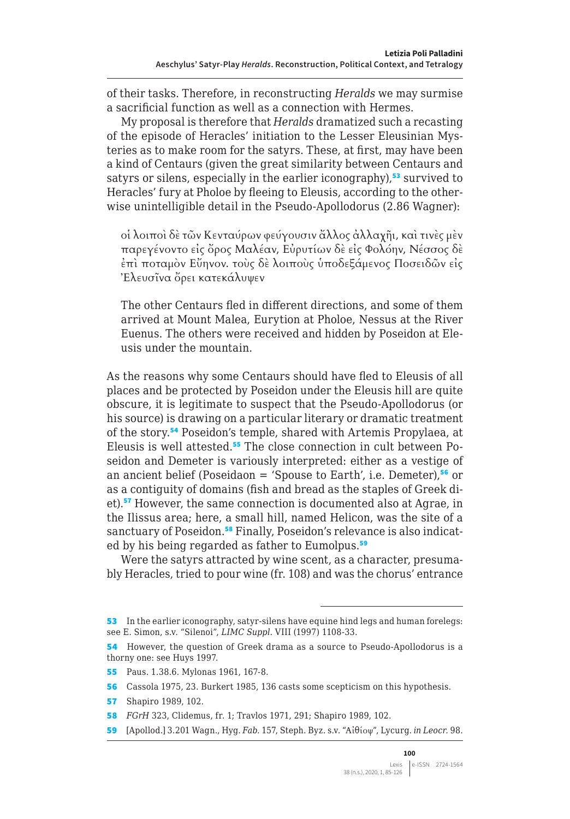of their tasks. Therefore, in reconstructing *Heralds* we may surmise a sacrificial function as well as a connection with Hermes.

My proposal is therefore that *Heralds* dramatized such a recasting of the episode of Heracles' initiation to the Lesser Eleusinian Mysteries as to make room for the satyrs. These, at first, may have been a kind of Centaurs (given the great similarity between Centaurs and satyrs or silens, especially in the earlier iconography),<sup>53</sup> survived to Heracles' fury at Pholoe by fleeing to Eleusis, according to the otherwise unintelligible detail in the Pseudo-Apollodorus (2.86 Wagner):

οἱ λοιποὶ δὲ τῶν Κενταύρων φεύγουσιν ἄλλος ἀλλαχῆι, καὶ τινὲς μὲν παρεγένοντο εἰς ὄρος Μαλέαν, Εὐρυτίων δὲ εἰς Φολόην, Νέσσος δὲ ἐπὶ ποταμὸν Εὔηνον. τοὺς δὲ λοιποὺς ὑποδεξάμενος Ποσειδῶν εἰς Ἐλευσῖνα ὄρει κατεκάλυψεν

The other Centaurs fled in different directions, and some of them arrived at Mount Malea, Eurytion at Pholoe, Nessus at the River Euenus. The others were received and hidden by Poseidon at Eleusis under the mountain.

As the reasons why some Centaurs should have fled to Eleusis of all places and be protected by Poseidon under the Eleusis hill are quite obscure, it is legitimate to suspect that the Pseudo-Apollodorus (or his source) is drawing on a particular literary or dramatic treatment of the story.<sup>54</sup> Poseidon's temple, shared with Artemis Propylaea, at Eleusis is well attested.55 The close connection in cult between Poseidon and Demeter is variously interpreted: either as a vestige of an ancient belief (Poseidaon = 'Spouse to Earth', i.e. Demeter),<sup>56</sup> or as a contiguity of domains (fish and bread as the staples of Greek diet).<sup>57</sup> However, the same connection is documented also at Agrae, in the Ilissus area; here, a small hill, named Helicon, was the site of a sanctuary of Poseidon.<sup>58</sup> Finally, Poseidon's relevance is also indicated by his being regarded as father to Eumolpus.<sup>59</sup>

Were the satyrs attracted by wine scent, as a character, presumably Heracles, tried to pour wine (fr. 108) and was the chorus' entrance

56 Cassola 1975, 23. Burkert 1985, 136 casts some scepticism on this hypothesis.

57 Shapiro 1989, 102.

<sup>53</sup> In the earlier iconography, satyr-silens have equine hind legs and human forelegs: see E. Simon, s.v. "Silenoi", *LIMC Suppl*. VIII (1997) 1108-33.

<sup>54</sup> However, the question of Greek drama as a source to Pseudo-Apollodorus is a thorny one: see Huys 1997.

<sup>55</sup> Paus. 1.38.6. Mylonas 1961, 167-8.

<sup>58</sup> *FGrH* 323, Clidemus, fr. 1; Travlos 1971, 291; Shapiro 1989, 102.

<sup>59</sup> [Apollod.] 3.201 Wagn., Hyg. *Fab.* 157, Steph. Byz. s.v. "Αἰθίοψ", Lycurg. *in Leocr.* 98.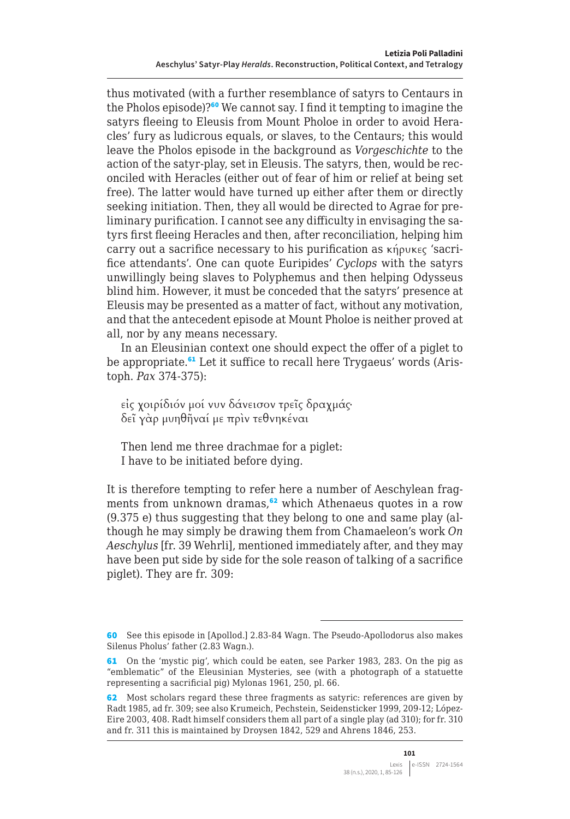thus motivated (with a further resemblance of satyrs to Centaurs in the Pholos episode)?<sup>60</sup> We cannot say. I find it tempting to imagine the satyrs fleeing to Eleusis from Mount Pholoe in order to avoid Heracles' fury as ludicrous equals, or slaves, to the Centaurs; this would leave the Pholos episode in the background as *Vorgeschichte* to the action of the satyr-play, set in Eleusis. The satyrs, then, would be reconciled with Heracles (either out of fear of him or relief at being set free). The latter would have turned up either after them or directly seeking initiation. Then, they all would be directed to Agrae for preliminary purification. I cannot see any difficulty in envisaging the satyrs first fleeing Heracles and then, after reconciliation, helping him carry out a sacrifice necessary to his purification as κήρυκες 'sacrifice attendants'. One can quote Euripides' *Cyclops* with the satyrs unwillingly being slaves to Polyphemus and then helping Odysseus blind him. However, it must be conceded that the satyrs' presence at Eleusis may be presented as a matter of fact, without any motivation, and that the antecedent episode at Mount Pholoe is neither proved at all, nor by any means necessary.

In an Eleusinian context one should expect the offer of a piglet to be appropriate.<sup>61</sup> Let it suffice to recall here Trygaeus' words (Aristoph. *Pax* 374-375):

εἰς χοιρίδιόν μοί νυν δάνεισον τρεῖς δραχμάς· δεῖ γὰρ μυηθῆναί με πρὶν τεθνηκέναι

Then lend me three drachmae for a piglet: I have to be initiated before dying.

It is therefore tempting to refer here a number of Aeschylean fragments from unknown dramas,<sup>62</sup> which Athenaeus quotes in a row (9.375 e) thus suggesting that they belong to one and same play (although he may simply be drawing them from Chamaeleon's work *On Aeschylus* [fr. 39 Wehrli], mentioned immediately after, and they may have been put side by side for the sole reason of talking of a sacrifice piglet). They are fr. 309:

<sup>60</sup> See this episode in [Apollod.] 2.83-84 Wagn. The Pseudo-Apollodorus also makes Silenus Pholus' father (2.83 Wagn.).

<sup>61</sup> On the 'mystic pig', which could be eaten, see Parker 1983, 283. On the pig as "emblematic" of the Eleusinian Mysteries, see (with a photograph of a statuette representing a sacrificial pig) Mylonas 1961, 250, pl. 66.

<sup>62</sup> Most scholars regard these three fragments as satyric: references are given by Radt 1985, ad fr. 309; see also Krumeich, Pechstein, Seidensticker 1999, 209-12; López-Eire 2003, 408. Radt himself considers them all part of a single play (ad 310); for fr. 310 and fr. 311 this is maintained by Droysen 1842, 529 and Ahrens 1846, 253.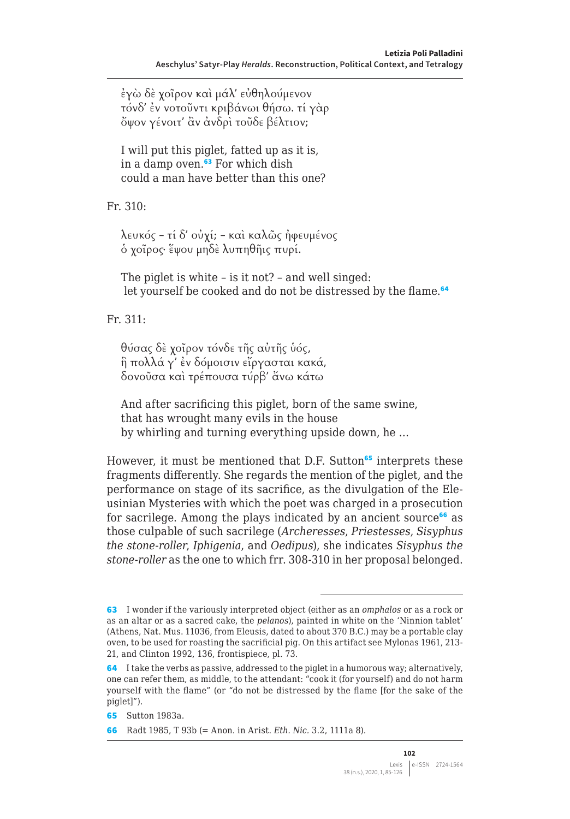ἐγὼ δὲ χοῖρον καὶ μάλ' εὐθηλούμενον τόνδ' ἐν νοτοῦντι κριβάνωι θήσω. τί γὰρ ὄψον γένοιτ' ἂν ἀνδρὶ τοῦδε βέλτιον;

I will put this piglet, fatted up as it is, in a damp oven.<sup>63</sup> For which dish could a man have better than this one?

Fr. 310:

λευκός – τί δ' οὐχί; – καὶ καλῶς ἠφευμένος ὁ χοῖρος· ἕψου μηδὲ λυπηθῆις πυρί.

The piglet is white – is it not? – and well singed: let yourself be cooked and do not be distressed by the flame.<sup>64</sup>

Fr. 311:

θύσας δὲ χοῖρον τόνδε τῆς αὐτῆς ὑός, ἣ πολλά γ' ἐν δόμοισιν εἴργασται κακά, δονοῦσα καὶ τρέπουσα τύρβ' ἄνω κάτω

And after sacrificing this piglet, born of the same swine, that has wrought many evils in the house by whirling and turning everything upside down, he …

However, it must be mentioned that D.F. Sutton<sup>65</sup> interprets these fragments differently. She regards the mention of the piglet, and the performance on stage of its sacrifice, as the divulgation of the Eleusinian Mysteries with which the poet was charged in a prosecution for sacrilege. Among the plays indicated by an ancient source<sup>66</sup> as those culpable of such sacrilege (*Archeresses*, *Priestesses*, *Sisyphus the stone-roller*, *Iphigenia*, and *Oedipus*), she indicates *Sisyphus the stone-roller* as the one to which frr. 308-310 in her proposal belonged.

<sup>63</sup> I wonder if the variously interpreted object (either as an *omphalos* or as a rock or as an altar or as a sacred cake, the *pelanos*), painted in white on the 'Ninnion tablet' (Athens, Nat. Mus. 11036, from Eleusis, dated to about 370 B.C.) may be a portable clay oven, to be used for roasting the sacrificial pig. On this artifact see Mylonas 1961, 213- 21, and Clinton 1992, 136, frontispiece, pl. 73.

<sup>64</sup> I take the verbs as passive, addressed to the piglet in a humorous way; alternatively, one can refer them, as middle, to the attendant: "cook it (for yourself) and do not harm yourself with the flame" (or "do not be distressed by the flame [for the sake of the piglet]").

<sup>65</sup> Sutton 1983a.

<sup>66</sup> Radt 1985, T 93b (= Anon. in Arist. *Eth. Nic.* 3.2, 1111a 8).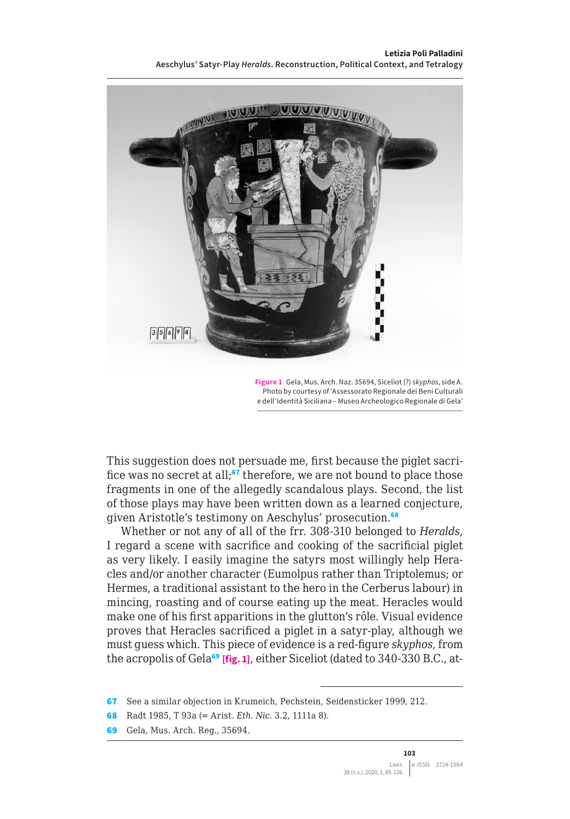**Letizia Poli Palladini Aeschylus' Satyr-Play** *Heralds***. Reconstruction, Political Context, and Tetralogy**



**Figure 1** Gela, Mus. Arch. Naz. 35694, Siceliot (?) *skyphos*, side A. Photo by courtesy of 'Assessorato Regionale dei Beni Culturali e dell'Identità Siciliana – Museo Archeologico Regionale di Gela'

This suggestion does not persuade me, first because the piglet sacrifice was no secret at all;<sup>67</sup> therefore, we are not bound to place those fragments in one of the allegedly scandalous plays. Second, the list of those plays may have been written down as a learned conjecture, given Aristotle's testimony on Aeschylus' prosecution.<sup>68</sup>

Whether or not any of all of the frr. 308-310 belonged to *Heralds*, I regard a scene with sacrifice and cooking of the sacrificial piglet as very likely. I easily imagine the satyrs most willingly help Heracles and/or another character (Eumolpus rather than Triptolemus; or Hermes, a traditional assistant to the hero in the Cerberus labour) in mincing, roasting and of course eating up the meat. Heracles would make one of his first apparitions in the glutton's rôle. Visual evidence proves that Heracles sacrificed a piglet in a satyr-play, although we must guess which. This piece of evidence is a red-figure *skyphos*, from the acropolis of Gela<sup>69</sup> [fig. 1], either Siceliot (dated to 340-330 B.C., at-

<sup>67</sup> See a similar objection in Krumeich, Pechstein, Seidensticker 1999, 212.

<sup>68</sup> Radt 1985, T 93a (= Arist. *Eth. Nic.* 3.2, 1111a 8).

<sup>69</sup> Gela, Mus. Arch. Reg., 35694.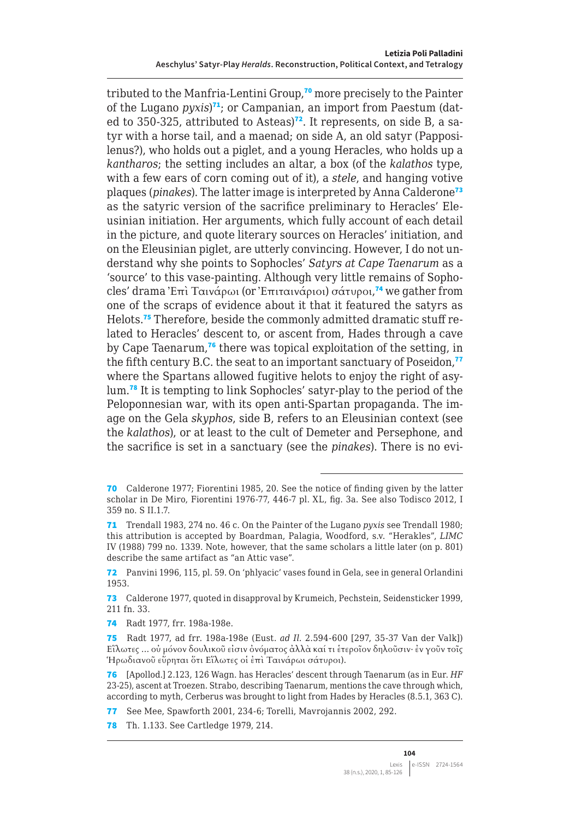tributed to the Manfria-Lentini Group,<sup>70</sup> more precisely to the Painter of the Lugano *pyxis*)<sup>71</sup>; or Campanian, an import from Paestum (dated to 350-325, attributed to Asteas)<sup>72</sup>. It represents, on side B, a satyr with a horse tail, and a maenad; on side A, an old satyr (Papposilenus?), who holds out a piglet, and a young Heracles, who holds up a *kantharos*; the setting includes an altar, a box (of the *kalathos* type, with a few ears of corn coming out of it), a *stele*, and hanging votive plaques (*pinakes*). The latter image is interpreted by Anna Calderone<sup>73</sup> as the satyric version of the sacrifice preliminary to Heracles' Eleusinian initiation. Her arguments, which fully account of each detail in the picture, and quote literary sources on Heracles' initiation, and on the Eleusinian piglet, are utterly convincing. However, I do not understand why she points to Sophocles' *Satyrs at Cape Taenarum* as a 'source' to this vase-painting. Although very little remains of Sophocles' drama Ἐπὶ Ταινάρωι (or Ἐπιταινάριοι) σάτυροι, <sup>74</sup> we gather from one of the scraps of evidence about it that it featured the satyrs as Helots.75 Therefore, beside the commonly admitted dramatic stuff related to Heracles' descent to, or ascent from, Hades through a cave by Cape Taenarum,<sup>76</sup> there was topical exploitation of the setting, in the fifth century B.C. the seat to an important sanctuary of Poseidon, $\overline{17}$ where the Spartans allowed fugitive helots to enjoy the right of asylum.<sup>78</sup> It is tempting to link Sophocles' satyr-play to the period of the Peloponnesian war, with its open anti-Spartan propaganda. The image on the Gela *skyphos*, side B, refers to an Eleusinian context (see the *kalathos*), or at least to the cult of Demeter and Persephone, and the sacrifice is set in a sanctuary (see the *pinakes*). There is no evi-

78 Th. 1.133. See Cartledge 1979, 214.

<sup>70</sup> Calderone 1977; Fiorentini 1985, 20. See the notice of finding given by the latter scholar in De Miro, Fiorentini 1976-77, 446-7 pl. XL, fig. 3a. See also Todisco 2012, I 359 no. S II.1.7.

<sup>71</sup> Trendall 1983, 274 no. 46 c. On the Painter of the Lugano *pyxis* see Trendall 1980; this attribution is accepted by Boardman, Palagia, Woodford, s.v. "Herakles", *LIMC* IV (1988) 799 no. 1339. Note, however, that the same scholars a little later (on p. 801) describe the same artifact as "an Attic vase".

<sup>72</sup> Panvini 1996, 115, pl. 59. On 'phlyacic' vases found in Gela, see in general Orlandini 1953.

<sup>73</sup> Calderone 1977, quoted in disapproval by Krumeich, Pechstein, Seidensticker 1999, 211 fn. 33.

<sup>74</sup> Radt 1977, frr. 198a-198e.

<sup>75</sup> Radt 1977, ad frr. 198a-198e (Eust. *ad Il.* 2.594-600 [297, 35-37 Van der Valk]) Εἵλωτες … οὐ μόνον δουλικοῦ εἰσιν ὀνόματος ἀλλὰ καί τι ἑτεροῖον δηλοῦσιν· ἐν γοῦν τοῖς Ἡρωδιανοῦ εὕρηται ὅτι Εἵλωτες οἱ ἐπὶ Ταινάρωι σάτυροι).

<sup>76</sup> [Apollod.] 2.123, 126 Wagn. has Heracles' descent through Taenarum (as in Eur. *HF* 23-25), ascent at Troezen. Strabo, describing Taenarum, mentions the cave through which, according to myth, Cerberus was brought to light from Hades by Heracles (8.5.1, 363 C).

<sup>77</sup> See Mee, Spawforth 2001, 234-6; Torelli, Mavrojannis 2002, 292.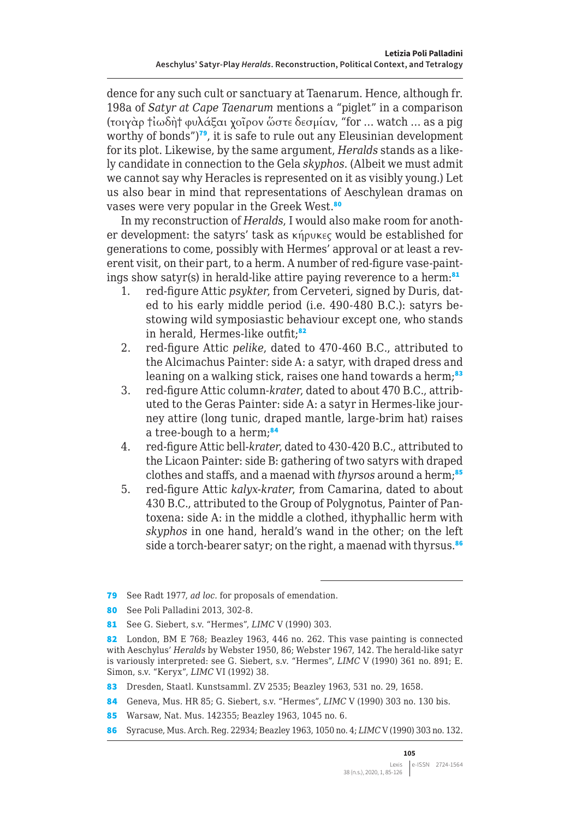dence for any such cult or sanctuary at Taenarum. Hence, although fr. 198a of *Satyr at Cape Taenarum* mentions a "piglet" in a comparison (τοιγὰρ †ἰωδὴ† φυλάξαι χοῖρον ὥστε δεσμίαν, "for … watch … as a pig worthy of bonds")<sup>79</sup>, it is safe to rule out any Eleusinian development for its plot. Likewise, by the same argument, *Heralds* stands as a likely candidate in connection to the Gela *skyphos*. (Albeit we must admit we cannot say why Heracles is represented on it as visibly young.) Let us also bear in mind that representations of Aeschylean dramas on vases were very popular in the Greek West.<sup>80</sup>

In my reconstruction of *Heralds*, I would also make room for another development: the satyrs' task as κήρυκες would be established for generations to come, possibly with Hermes' approval or at least a reverent visit, on their part, to a herm. A number of red-figure vase-paintings show satyr(s) in herald-like attire paying reverence to a herm:<sup>81</sup>

- 1. red-figure Attic *psykter*, from Cerveteri, signed by Duris, dated to his early middle period (i.e. 490-480 B.C.): satyrs bestowing wild symposiastic behaviour except one, who stands in herald, Hermes-like outfit;<sup>82</sup>
- 2. red-figure Attic *pelike*, dated to 470-460 B.C., attributed to the Alcimachus Painter: side A: a satyr, with draped dress and leaning on a walking stick, raises one hand towards a herm;<sup>83</sup>
- 3. red-figure Attic column-*krater*, dated to about 470 B.C., attributed to the Geras Painter: side A: a satyr in Hermes-like journey attire (long tunic, draped mantle, large-brim hat) raises a tree-bough to a herm;<sup>84</sup>
- 4. red-figure Attic bell-*krater*, dated to 430-420 B.C., attributed to the Licaon Painter: side B: gathering of two satyrs with draped clothes and staffs, and a maenad with *thyrsos* around a herm;<sup>85</sup>
- 5. red-figure Attic *kalyx-krater*, from Camarina, dated to about 430 B.C., attributed to the Group of Polygnotus, Painter of Pantoxena: side A: in the middle a clothed, ithyphallic herm with *skyphos* in one hand, herald's wand in the other; on the left side a torch-bearer satyr; on the right, a maenad with thyrsus.<sup>86</sup>

<sup>79</sup> See Radt 1977, *ad loc.* for proposals of emendation.

<sup>80</sup> See Poli Palladini 2013, 302-8.

<sup>81</sup> See G. Siebert, s.v. "Hermes", *LIMC* V (1990) 303.

<sup>82</sup> London, BM E 768; Beazley 1963, 446 no. 262. This vase painting is connected with Aeschylus' *Heralds* by Webster 1950, 86; Webster 1967, 142. The herald-like satyr is variously interpreted: see G. Siebert, s.v. "Hermes", *LIMC* V (1990) 361 no. 891; E. Simon, s.v. "Keryx", *LIMC* VI (1992) 38.

<sup>83</sup> Dresden, Staatl. Kunstsamml. ZV 2535; Beazley 1963, 531 no. 29, 1658.

<sup>84</sup> Geneva, Mus. HR 85; G. Siebert, s.v. "Hermes", *LIMC* V (1990) 303 no. 130 bis.

<sup>85</sup> Warsaw, Nat. Mus. 142355; Beazley 1963, 1045 no. 6.

<sup>86</sup> Syracuse, Mus. Arch. Reg. 22934; Beazley 1963, 1050 no. 4; *LIMC* V (1990) 303 no. 132.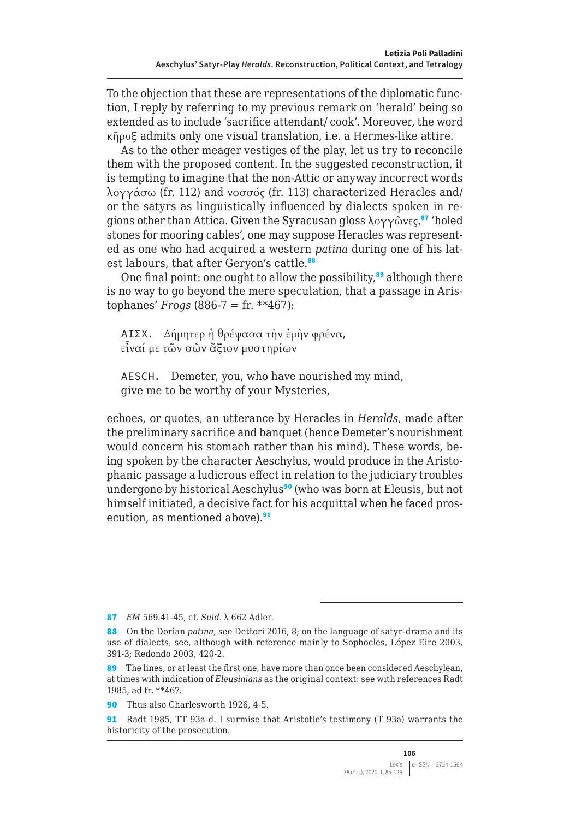To the objection that these are representations of the diplomatic function, I reply by referring to my previous remark on 'herald' being so extended as to include 'sacrifice attendant/ cook'. Moreover, the word κῆρυξ admits only one visual translation, i.e. a Hermes-like attire.

As to the other meager vestiges of the play, let us try to reconcile them with the proposed content. In the suggested reconstruction, it is tempting to imagine that the non-Attic or anyway incorrect words λογγάσω (fr. 112) and νοσσός (fr. 113) characterized Heracles and/ or the satyrs as linguistically influenced by dialects spoken in regions other than Attica. Given the Syracusan gloss  $\lambda$ o $\gamma\gamma\tilde{\omega}$ νες,<sup>87</sup> 'holed stones for mooring cables', one may suppose Heracles was represented as one who had acquired a western *patina* during one of his latest labours, that after Geryon's cattle.<sup>88</sup>

One final point: one ought to allow the possibility,<sup>89</sup> although there is no way to go beyond the mere speculation, that a passage in Aristophanes' *Frogs* (886-7 = fr. \*\*467):

ΑΙΣΧ. Δήμητερ ἡ θρέψασα τὴν ἐμὴν φρένα, εἶναί με τῶν σῶν ἄξιον μυστηρίων

AESCH. Demeter, you, who have nourished my mind, give me to be worthy of your Mysteries,

echoes, or quotes, an utterance by Heracles in *Heralds*, made after the preliminary sacrifice and banquet (hence Demeter's nourishment would concern his stomach rather than his mind). These words, being spoken by the character Aeschylus, would produce in the Aristophanic passage a ludicrous effect in relation to the judiciary troubles undergone by historical Aeschylus<sup>90</sup> (who was born at Eleusis, but not himself initiated, a decisive fact for his acquittal when he faced prosecution, as mentioned above).<sup>91</sup>

<sup>87</sup> *EM* 569.41-45, cf. *Suid.* λ 662 Adler.

<sup>88</sup> On the Dorian *patina*, see Dettori 2016, 8; on the language of satyr-drama and its use of dialects, see, although with reference mainly to Sophocles, López Eire 2003, 391-3; Redondo 2003, 420-2.

<sup>89</sup> The lines, or at least the first one, have more than once been considered Aeschylean, at times with indication of *Eleusinians* as the original context: see with references Radt 1985, ad fr. \*\*467.

<sup>90</sup> Thus also Charlesworth 1926, 4-5.

<sup>91</sup> Radt 1985, TT 93a-d. I surmise that Aristotle's testimony (T 93a) warrants the historicity of the prosecution.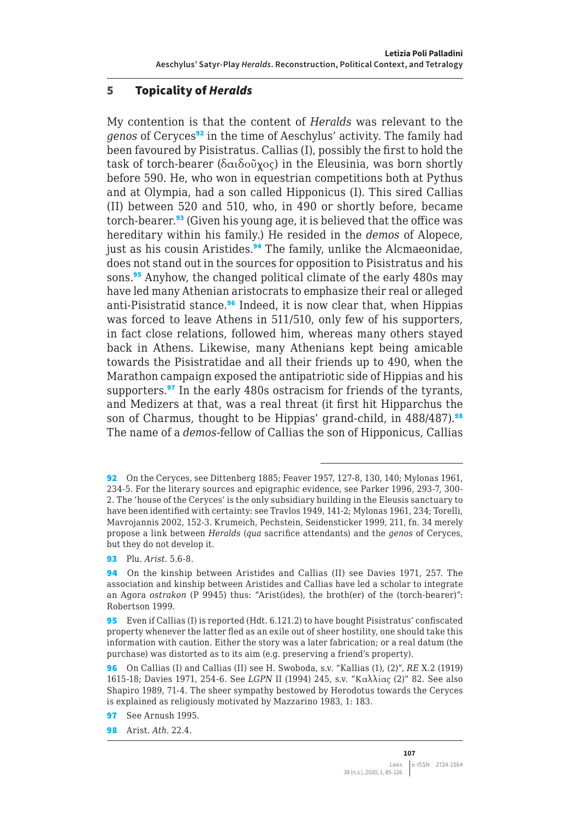#### 5 Topicality of *Heralds*

My contention is that the content of *Heralds* was relevant to the *genos* of Ceryces<sup>92</sup> in the time of Aeschylus' activity. The family had been favoured by Pisistratus. Callias (I), possibly the first to hold the task of torch-bearer (δαιδοῦχος) in the Eleusinia, was born shortly before 590. He, who won in equestrian competitions both at Pythus and at Olympia, had a son called Hipponicus (I). This sired Callias (II) between 520 and 510, who, in 490 or shortly before, became torch-bearer.<sup>93</sup> (Given his young age, it is believed that the office was hereditary within his family.) He resided in the *demos* of Alopece, just as his cousin Aristides.<sup>94</sup> The family, unlike the Alcmaeonidae, does not stand out in the sources for opposition to Pisistratus and his sons.<sup>95</sup> Anyhow, the changed political climate of the early 480s may have led many Athenian aristocrats to emphasize their real or alleged anti-Pisistratid stance.<sup>96</sup> Indeed, it is now clear that, when Hippias was forced to leave Athens in 511/510, only few of his supporters, in fact close relations, followed him, whereas many others stayed back in Athens. Likewise, many Athenians kept being amicable towards the Pisistratidae and all their friends up to 490, when the Marathon campaign exposed the antipatriotic side of Hippias and his supporters.<sup>97</sup> In the early 480s ostracism for friends of the tyrants, and Medizers at that, was a real threat (it first hit Hipparchus the son of Charmus, thought to be Hippias' grand-child, in 488/487).<sup>98</sup> The name of a *demos*-fellow of Callias the son of Hipponicus, Callias

93 Plu. *Arist.* 5.6-8.

<sup>92</sup> On the Ceryces, see Dittenberg 1885; Feaver 1957, 127-8, 130, 140; Mylonas 1961, 234-5. For the literary sources and epigraphic evidence, see Parker 1996, 293-7, 300- 2. The 'house of the Ceryces' is the only subsidiary building in the Eleusis sanctuary to have been identified with certainty: see Travlos 1949, 141-2; Mylonas 1961, 234; Torelli, Mavrojannis 2002, 152-3. Krumeich, Pechstein, Seidensticker 1999, 211, fn. 34 merely propose a link between *Heralds* (*qua* sacrifice attendants) and the *genos* of Ceryces, but they do not develop it.

<sup>94</sup> On the kinship between Aristides and Callias (II) see Davies 1971, 257. The association and kinship between Aristides and Callias have led a scholar to integrate an Agora *ostrakon* (P 9945) thus: "Arist(ides), the broth(er) of the (torch-bearer)": Robertson 1999.

<sup>95</sup> Even if Callias (I) is reported (Hdt. 6.121.2) to have bought Pisistratus' confiscated property whenever the latter fled as an exile out of sheer hostility, one should take this information with caution. Either the story was a later fabrication; or a real datum (the purchase) was distorted as to its aim (e.g. preserving a friend's property).

<sup>96</sup> On Callias (I) and Callias (II) see H. Swoboda, s.v. "Kallias (1), (2)", *RE* X.2 (1919) 1615-18; Davies 1971, 254-6. See *LGPN* II (1994) 245, s.v. "Καλλίας (2)" 82. See also Shapiro 1989, 71-4. The sheer sympathy bestowed by Herodotus towards the Ceryces is explained as religiously motivated by Mazzarino 1983, 1: 183.

<sup>97</sup> See Arnush 1995.

<sup>98</sup> Arist. *Ath.* 22.4.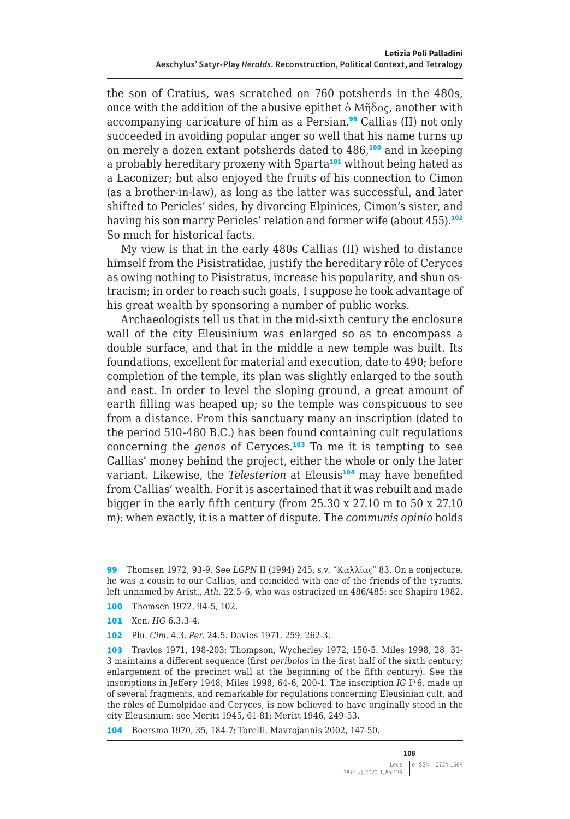the son of Cratius, was scratched on 760 potsherds in the 480s, once with the addition of the abusive epithet  $\delta$  Mή $\delta$ oc, another with accompanying caricature of him as a Persian.<sup>99</sup> Callias (II) not only succeeded in avoiding popular anger so well that his name turns up on merely a dozen extant potsherds dated to 486,<sup>100</sup> and in keeping a probably hereditary proxeny with Sparta<sup>101</sup> without being hated as a Laconizer; but also enjoyed the fruits of his connection to Cimon (as a brother-in-law), as long as the latter was successful, and later shifted to Pericles' sides, by divorcing Elpinices, Cimon's sister, and having his son marry Pericles' relation and former wife (about 455).<sup>102</sup> So much for historical facts.

My view is that in the early 480s Callias (II) wished to distance himself from the Pisistratidae, justify the hereditary rôle of Ceryces as owing nothing to Pisistratus, increase his popularity, and shun ostracism; in order to reach such goals, I suppose he took advantage of his great wealth by sponsoring a number of public works.

Archaeologists tell us that in the mid-sixth century the enclosure wall of the city Eleusinium was enlarged so as to encompass a double surface, and that in the middle a new temple was built. Its foundations, excellent for material and execution, date to 490; before completion of the temple, its plan was slightly enlarged to the south and east. In order to level the sloping ground, a great amount of earth filling was heaped up; so the temple was conspicuous to see from a distance. From this sanctuary many an inscription (dated to the period 510-480 B.C.) has been found containing cult regulations concerning the *genos* of Ceryces.<sup>103</sup> To me it is tempting to see Callias' money behind the project, either the whole or only the later variant. Likewise, the *Telesterion* at Eleusis<sup>104</sup> may have benefited from Callias' wealth. For it is ascertained that it was rebuilt and made bigger in the early fifth century (from 25.30 x 27.10 m to 50 x 27.10 m): when exactly, it is a matter of dispute. The *communis opinio* holds

<sup>99</sup> Thomsen 1972, 93-9. See *LGPN* II (1994) 245, s.v. "Καλλίας" 83. On a conjecture, he was a cousin to our Callias, and coincided with one of the friends of the tyrants, left unnamed by Arist., *Ath.* 22.5-6, who was ostracized on 486/485: see Shapiro 1982.

<sup>100</sup> Thomsen 1972, 94-5, 102.

<sup>101</sup> Xen. *HG* 6.3.3-4.

<sup>102</sup> Plu. *Cim.* 4.3, *Per.* 24.5. Davies 1971, 259, 262-3.

<sup>103</sup> Travlos 1971, 198-203; Thompson, Wycherley 1972, 150-5. Miles 1998, 28, 31- 3 maintains a different sequence (first *peribolos* in the first half of the sixth century; enlargement of the precinct wall at the beginning of the fifth century). See the inscriptions in Jeffery 1948; Miles 1998, 64-6, 200-1. The inscription *IG* I3 6, made up of several fragments, and remarkable for regulations concerning Eleusinian cult, and the rôles of Eumolpidae and Ceryces, is now believed to have originally stood in the city Eleusinium: see Meritt 1945, 61-81; Meritt 1946, 249-53.

<sup>104</sup> Boersma 1970, 35, 184-7; Torelli, Mavrojannis 2002, 147-50.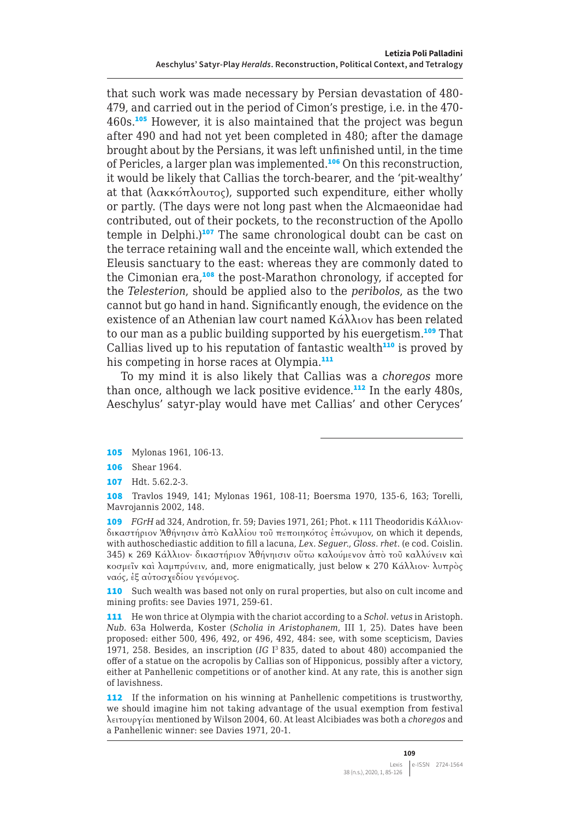that such work was made necessary by Persian devastation of 480- 479, and carried out in the period of Cimon's prestige, i.e. in the 470- 460s.<sup>105</sup> However, it is also maintained that the project was begun after 490 and had not yet been completed in 480; after the damage brought about by the Persians, it was left unfinished until, in the time of Pericles, a larger plan was implemented.<sup>106</sup> On this reconstruction, it would be likely that Callias the torch-bearer, and the 'pit-wealthy' at that (λακκόπλουτος), supported such expenditure, either wholly or partly. (The days were not long past when the Alcmaeonidae had contributed, out of their pockets, to the reconstruction of the Apollo temple in Delphi.)<sup>107</sup> The same chronological doubt can be cast on the terrace retaining wall and the enceinte wall, which extended the Eleusis sanctuary to the east: whereas they are commonly dated to the Cimonian era,<sup>108</sup> the post-Marathon chronology, if accepted for the *Telesterion*, should be applied also to the *peribolos*, as the two cannot but go hand in hand. Significantly enough, the evidence on the existence of an Athenian law court named Κάλλιον has been related to our man as a public building supported by his euergetism.<sup>109</sup> That Callias lived up to his reputation of fantastic wealth $110$  is proved by his competing in horse races at Olympia.<sup>111</sup>

To my mind it is also likely that Callias was a *choregos* more than once, although we lack positive evidence. $112$  In the early 480s, Aeschylus' satyr-play would have met Callias' and other Ceryces'

107 Hdt. 5.62.2-3.

108 Travlos 1949, 141; Mylonas 1961, 108-11; Boersma 1970, 135-6, 163; Torelli, Mavrojannis 2002, 148.

109 *FGrH* ad 324, Androtion, fr. 59; Davies 1971, 261; Phot. κ 111 Theodoridis Κάλλιον· δικαστήριον Ἀθήνησιν ἀπὸ Καλλίου τοῦ πεποιηκότος ἐπώνυμον, on which it depends, with authoschediastic addition to fill a lacuna, *Lex. Seguer*., *Gloss. rhet*. (e cod. Coislin. 345) κ 269 Κάλλιον· δικαστήριον Ἀθήνηισιν οὕτω καλούμενον ἀπὸ τοῦ καλλύνειν καὶ κοσμεῖν καὶ λαμπρύνειν, and, more enigmatically, just below κ 270 Κάλλιον· λυπρὸς ναός, ἐξ αὐτοσχεδίου γενόμενος.

110 Such wealth was based not only on rural properties, but also on cult income and mining profits: see Davies 1971, 259-61.

111 He won thrice at Olympia with the chariot according to a *Schol. vetus* in Aristoph. *Nub.* 63a Holwerda, Koster (*Scholia in Aristophanem*, III 1, 25). Dates have been proposed: either 500, 496, 492, or 496, 492, 484: see, with some scepticism, Davies 1971, 258. Besides, an inscription (*IG* I3 835, dated to about 480) accompanied the offer of a statue on the acropolis by Callias son of Hipponicus, possibly after a victory, either at Panhellenic competitions or of another kind. At any rate, this is another sign of lavishness.

112 If the information on his winning at Panhellenic competitions is trustworthy, we should imagine him not taking advantage of the usual exemption from festival λειτουργίαι mentioned by Wilson 2004, 60. At least Alcibiades was both a *choregos* and a Panhellenic winner: see Davies 1971, 20-1.

<sup>105</sup> Mylonas 1961, 106-13.

<sup>106</sup> Shear 1964.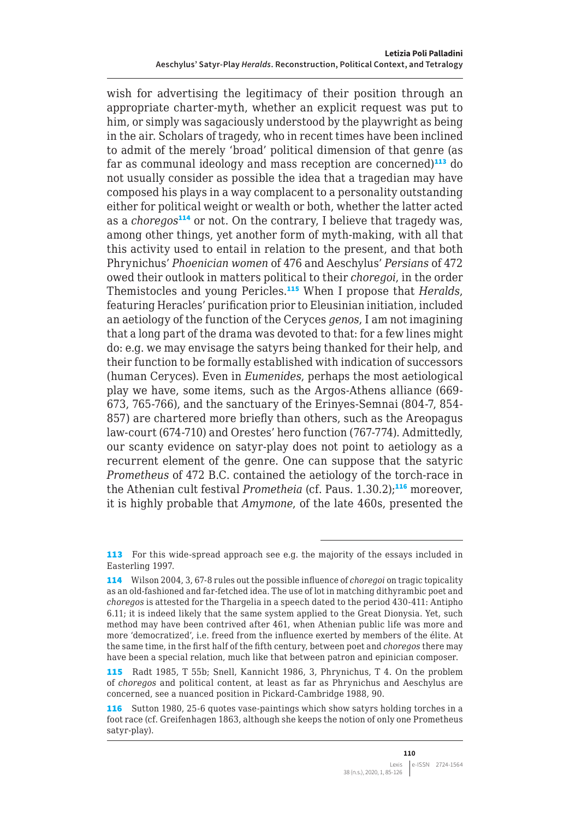wish for advertising the legitimacy of their position through an appropriate charter-myth, whether an explicit request was put to him, or simply was sagaciously understood by the playwright as being in the air. Scholars of tragedy, who in recent times have been inclined to admit of the merely 'broad' political dimension of that genre (as far as communal ideology and mass reception are concerned) $113$  do not usually consider as possible the idea that a tragedian may have composed his plays in a way complacent to a personality outstanding either for political weight or wealth or both, whether the latter acted as a *choregos*<sup>114</sup> or not. On the contrary, I believe that tragedy was, among other things, yet another form of myth-making, with all that this activity used to entail in relation to the present, and that both Phrynichus' *Phoenician women* of 476 and Aeschylus' *Persians* of 472 owed their outlook in matters political to their *choregoi*, in the order Themistocles and young Pericles.<sup>115</sup> When I propose that *Heralds*, featuring Heracles' purification prior to Eleusinian initiation, included an aetiology of the function of the Ceryces *genos*, I am not imagining that a long part of the drama was devoted to that: for a few lines might do: e.g. we may envisage the satyrs being thanked for their help, and their function to be formally established with indication of successors (human Ceryces). Even in *Eumenides*, perhaps the most aetiological play we have, some items, such as the Argos-Athens alliance (669- 673, 765-766), and the sanctuary of the Erinyes-Semnai (804-7, 854- 857) are chartered more briefly than others, such as the Areopagus law-court (674-710) and Orestes' hero function (767-774). Admittedly, our scanty evidence on satyr-play does not point to aetiology as a recurrent element of the genre. One can suppose that the satyric *Prometheus* of 472 B.C. contained the aetiology of the torch-race in the Athenian cult festival *Prometheia* (cf. Paus. 1.30.2);<sup>116</sup> moreover, it is highly probable that *Amymone*, of the late 460s, presented the

<sup>113</sup> For this wide-spread approach see e.g. the majority of the essays included in Easterling 1997.

<sup>114</sup> Wilson 2004, 3, 67-8 rules out the possible influence of *choregoi* on tragic topicality as an old-fashioned and far-fetched idea. The use of lot in matching dithyrambic poet and *choregos* is attested for the Thargelia in a speech dated to the period 430-411: Antipho 6.11; it is indeed likely that the same system applied to the Great Dionysia. Yet, such method may have been contrived after 461, when Athenian public life was more and more 'democratized', i.e. freed from the influence exerted by members of the élite. At the same time, in the first half of the fifth century, between poet and *choregos* there may have been a special relation, much like that between patron and epinician composer.

<sup>115</sup> Radt 1985, T 55b; Snell, Kannicht 1986, 3, Phrynichus, T 4. On the problem of *choregos* and political content, at least as far as Phrynichus and Aeschylus are concerned, see a nuanced position in Pickard-Cambridge 1988, 90.

<sup>116</sup> Sutton 1980, 25-6 quotes vase-paintings which show satyrs holding torches in a foot race (cf. Greifenhagen 1863, although she keeps the notion of only one Prometheus satyr-play).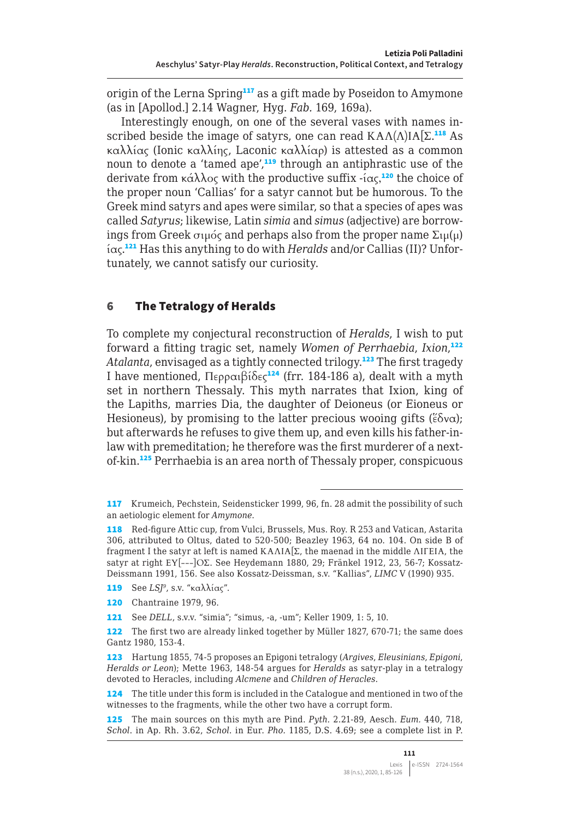origin of the Lerna Spring<sup>117</sup> as a gift made by Poseidon to Amymone (as in [Apollod.] 2.14 Wagner, Hyg. *Fab.* 169, 169a).

Interestingly enough, on one of the several vases with names inscribed beside the image of satyrs, one can read  $K A \Lambda(\Lambda) I A[\Sigma^{118}]$  As καλλίας (Ionic καλλίης, Laconic καλλίαρ) is attested as a common noun to denote a 'tamed ape',<sup>119</sup> through an antiphrastic use of the derivate from κάλλος with the productive suffix -ίας,<sup>120</sup> the choice of the proper noun 'Callias' for a satyr cannot but be humorous. To the Greek mind satyrs and apes were similar, so that a species of apes was called *Satyrus*; likewise, Latin *simia* and *simus* (adjective) are borrowings from Greek σιμός and perhaps also from the proper name  $\Sigma$ ιμ(μ) ίας.121 Has this anything to do with *Heralds* and/or Callias (II)? Unfortunately, we cannot satisfy our curiosity.

#### 6 The Tetralogy of Heralds

To complete my conjectural reconstruction of *Heralds*, I wish to put forward a fitting tragic set, namely *Women of Perrhaebia*, *Ixion*, 122 Atalanta, envisaged as a tightly connected trilogy.<sup>123</sup> The first tragedy I have mentioned, Περραιβίδες<sup>124</sup> (frr. 184-186 a), dealt with a myth set in northern Thessaly. This myth narrates that Ixion, king of the Lapiths, marries Dia, the daughter of Deioneus (or Eioneus or Hesioneus), by promising to the latter precious wooing gifts ( $\epsilon \delta v \alpha$ ); but afterwards he refuses to give them up, and even kills his father-inlaw with premeditation; he therefore was the first murderer of a nextof-kin.<sup>125</sup> Perrhaebia is an area north of Thessaly proper, conspicuous

<sup>117</sup> Krumeich, Pechstein, Seidensticker 1999, 96, fn. 28 admit the possibility of such an aetiologic element for *Amymone*.

<sup>118</sup> Red-figure Attic cup, from Vulci, Brussels, Mus. Roy. R 253 and Vatican, Astarita 306, attributed to Oltus, dated to 520-500; Beazley 1963, 64 no. 104. On side B of fragment I the satyr at left is named ΚΑΛΙΑ[Σ, the maenad in the middle ΛΙΓΕΙΑ, the satyr at right ΕΥ[---]ΟΣ. See Heydemann 1880, 29; Fränkel 1912, 23, 56-7; Kossatz-Deissmann 1991, 156. See also Kossatz-Deissman, s.v. "Kallias", *LIMC* V (1990) 935.

<sup>119</sup> See *LSJ9*, s.v. "καλλίας".

<sup>120</sup> Chantraine 1979, 96.

<sup>121</sup> See *DELL*, s.v.v. "simia"; "simus, -a, -um"; Keller 1909, 1: 5, 10.

<sup>122</sup> The first two are already linked together by Müller 1827, 670-71; the same does Gantz 1980, 153-4.

<sup>123</sup> Hartung 1855, 74-5 proposes an Epigoni tetralogy (*Argives*, *Eleusinians*, *Epigoni*, *Heralds or Leon*); Mette 1963, 148-54 argues for *Heralds* as satyr-play in a tetralogy devoted to Heracles, including *Alcmene* and *Children of Heracles*.

<sup>124</sup> The title under this form is included in the Catalogue and mentioned in two of the witnesses to the fragments, while the other two have a corrupt form.

<sup>125</sup> The main sources on this myth are Pind. *Pyth.* 2.21-89, Aesch. *Eum.* 440, 718, *Schol*. in Ap. Rh. 3.62, *Schol*. in Eur. *Pho.* 1185, D.S. 4.69; see a complete list in P.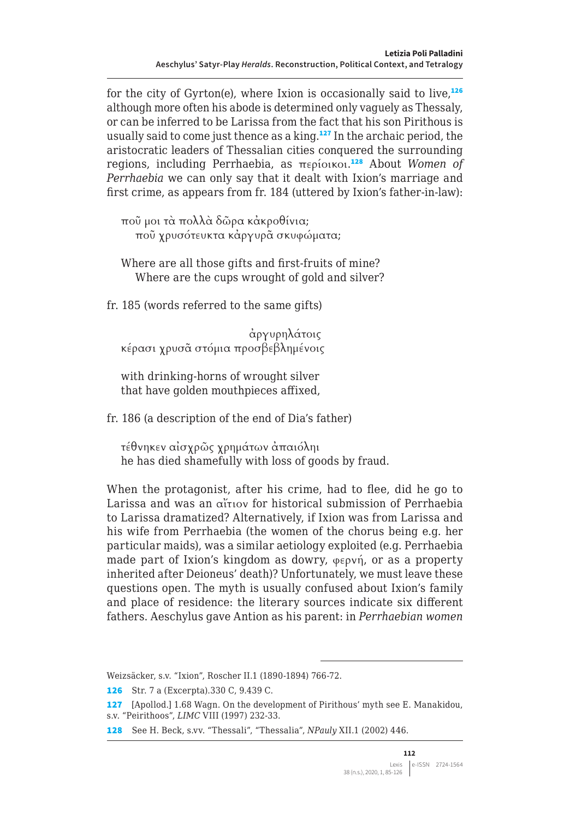for the city of Gyrton(e), where Ixion is occasionally said to live, $126$ although more often his abode is determined only vaguely as Thessaly, or can be inferred to be Larissa from the fact that his son Pirithous is usually said to come just thence as a king.<sup>127</sup> In the archaic period, the aristocratic leaders of Thessalian cities conquered the surrounding regions, including Perrhaebia, as περίοικοι. <sup>128</sup> About *Women of Perrhaebia* we can only say that it dealt with Ixion's marriage and first crime, as appears from fr. 184 (uttered by Ixion's father-in-law):

ποῦ μοι τὰ πολλὰ δῶρα κἀκροθίνια; ποῦ χρυσότευκτα κἀργυρᾶ σκυφώματα;

Where are all those gifts and first-fruits of mine? Where are the cups wrought of gold and silver?

fr. 185 (words referred to the same gifts)

ἀργυρηλάτοις κέρασι χρυσᾶ στόμια προσβεβλημένοις

with drinking-horns of wrought silver that have golden mouthpieces affixed,

fr. 186 (a description of the end of Dia's father)

τέθνηκεν αἰσχρῶς χρημάτων ἀπαιόληι he has died shamefully with loss of goods by fraud.

When the protagonist, after his crime, had to flee, did he go to Larissa and was an αἴτιον for historical submission of Perrhaebia to Larissa dramatized? Alternatively, if Ixion was from Larissa and his wife from Perrhaebia (the women of the chorus being e.g. her particular maids), was a similar aetiology exploited (e.g. Perrhaebia made part of Ixion's kingdom as dowry, φερνή, or as a property inherited after Deioneus' death)? Unfortunately, we must leave these questions open. The myth is usually confused about Ixion's family and place of residence: the literary sources indicate six different fathers. Aeschylus gave Antion as his parent: in *Perrhaebian women*

Weizsäcker, s.v. "Ixion", Roscher II.1 (1890-1894) 766-72.

126 Str. 7 a (Excerpta).330 C, 9.439 C.

127 [Apollod.] 1.68 Wagn. On the development of Pirithous' myth see E. Manakidou, s.v. "Peirithoos", *LIMC* VIII (1997) 232-33.

128 See H. Beck, s.vv. "Thessali", "Thessalia", *NPauly* XII.1 (2002) 446.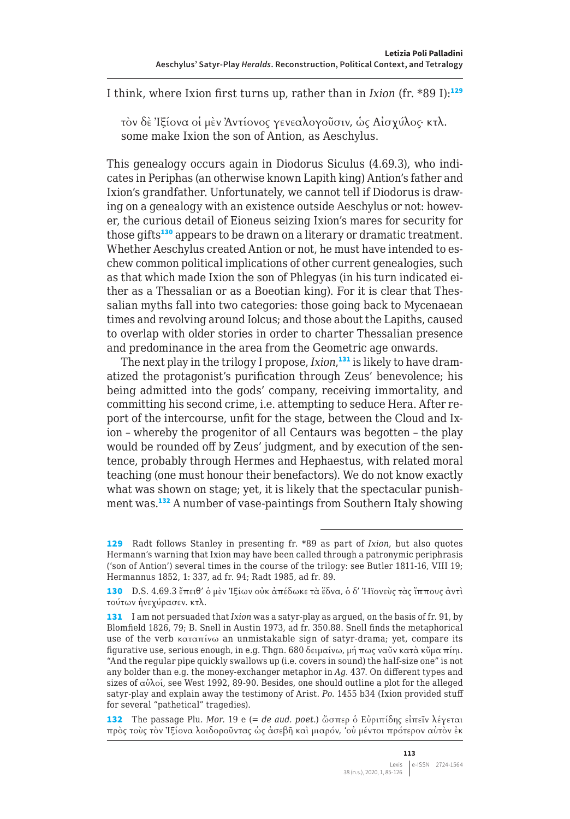I think, where Ixion first turns up, rather than in *Ixion* (fr. \*89 I):<sup>129</sup>

τὸν δὲ Ἰξίονα οἱ μὲν Ἀντίονος γενεαλογοῦσιν, ὡς Αἰσχύλος· κτλ. some make Ixion the son of Antion, as Aeschylus.

This genealogy occurs again in Diodorus Siculus (4.69.3), who indicates in Periphas (an otherwise known Lapith king) Antion's father and Ixion's grandfather. Unfortunately, we cannot tell if Diodorus is drawing on a genealogy with an existence outside Aeschylus or not: however, the curious detail of Eioneus seizing Ixion's mares for security for those gifts<sup>130</sup> appears to be drawn on a literary or dramatic treatment. Whether Aeschylus created Antion or not, he must have intended to eschew common political implications of other current genealogies, such as that which made Ixion the son of Phlegyas (in his turn indicated either as a Thessalian or as a Boeotian king). For it is clear that Thessalian myths fall into two categories: those going back to Mycenaean times and revolving around Iolcus; and those about the Lapiths, caused to overlap with older stories in order to charter Thessalian presence and predominance in the area from the Geometric age onwards.

The next play in the trilogy I propose, *Ixion*, 131 is likely to have dramatized the protagonist's purification through Zeus' benevolence; his being admitted into the gods' company, receiving immortality, and committing his second crime, i.e. attempting to seduce Hera. After report of the intercourse, unfit for the stage, between the Cloud and Ixion – whereby the progenitor of all Centaurs was begotten – the play would be rounded off by Zeus' judgment, and by execution of the sentence, probably through Hermes and Hephaestus, with related moral teaching (one must honour their benefactors). We do not know exactly what was shown on stage; yet, it is likely that the spectacular punishment was.<sup>132</sup> A number of vase-paintings from Southern Italy showing

132 The passage Plu. *Mor.* 19 e (= *de aud. poet.*) ὥσπερ ὁ Εὐριπίδης εἰπεῖν λέγεται πρὸς τοὺς τὸν Ἰξίονα λοιδοροῦντας ὡς ἀσεβῆ καὶ μιαρόν, 'οὐ μέντοι πρότερον αὐτὸν ἐκ

<sup>129</sup> Radt follows Stanley in presenting fr. \*89 as part of *Ixion*, but also quotes Hermann's warning that Ixion may have been called through a patronymic periphrasis ('son of Antion') several times in the course of the trilogy: see Butler 1811-16, VIII 19; Hermannus 1852, 1: 337, ad fr. 94; Radt 1985, ad fr. 89.

<sup>130</sup> D.S. 4.69.3 ἔπειθ' ὁ μὲν Ἰξίων οὐκ ἀπέδωκε τὰ ἕδνα, ὁ δ' Ήϊονεὺς τὰς ἵππους ἀντὶ τούτων ἠνεχύρασεν. κτλ.

<sup>131</sup> I am not persuaded that *Ixion* was a satyr-play as argued, on the basis of fr. 91, by Blomfield 1826, 79; B. Snell in Austin 1973, ad fr. 350.88. Snell finds the metaphorical use of the verb καταπίνω an unmistakable sign of satyr-drama; yet, compare its figurative use, serious enough, in e.g. Thgn. 680 δειμαίνω, μή πως ναῦν κατὰ κῦμα πίηι. "And the regular pipe quickly swallows up (i.e. covers in sound) the half-size one" is not any bolder than e.g. the money-exchanger metaphor in *Ag.* 437. On different types and sizes of αὐλοί, see West 1992, 89-90. Besides, one should outline a plot for the alleged satyr-play and explain away the testimony of Arist. *Po.* 1455 b34 (Ixion provided stuff for several "pathetical" tragedies).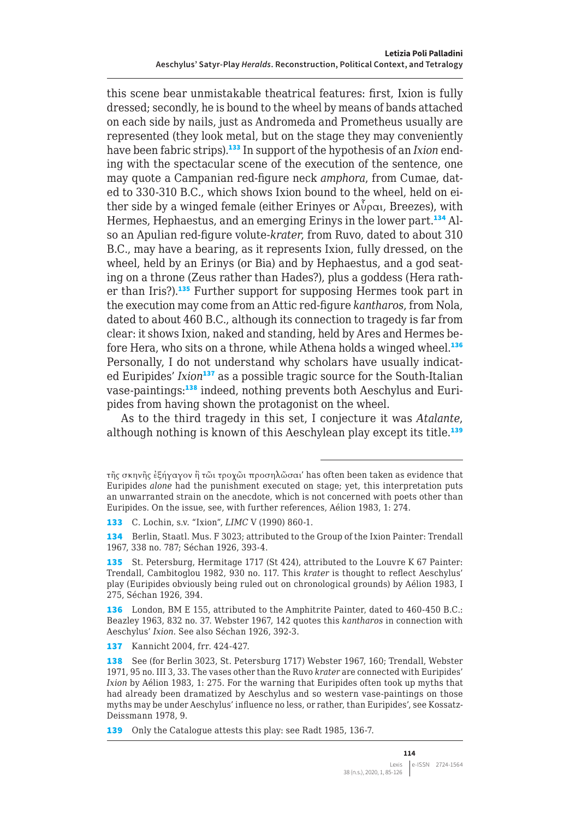this scene bear unmistakable theatrical features: first, Ixion is fully dressed; secondly, he is bound to the wheel by means of bands attached on each side by nails, just as Andromeda and Prometheus usually are represented (they look metal, but on the stage they may conveniently have been fabric strips).133 In support of the hypothesis of an *Ixion* ending with the spectacular scene of the execution of the sentence, one may quote a Campanian red-figure neck *amphora*, from Cumae, dated to 330-310 B.C., which shows Ixion bound to the wheel, held on either side by a winged female (either Erinyes or  $\Lambda^{3}(\rho\alpha)$ , Breezes), with Hermes, Hephaestus, and an emerging Erinys in the lower part.<sup>134</sup> Also an Apulian red-figure volute-*krater*, from Ruvo, dated to about 310 B.C., may have a bearing, as it represents Ixion, fully dressed, on the wheel, held by an Erinys (or Bia) and by Hephaestus, and a god seating on a throne (Zeus rather than Hades?), plus a goddess (Hera rather than Iris?).<sup>135</sup> Further support for supposing Hermes took part in the execution may come from an Attic red-figure *kantharos*, from Nola, dated to about 460 B.C., although its connection to tragedy is far from clear: it shows Ixion, naked and standing, held by Ares and Hermes before Hera, who sits on a throne, while Athena holds a winged wheel.<sup>136</sup> Personally, I do not understand why scholars have usually indicated Euripides' *Ixion*<sup>137</sup> as a possible tragic source for the South-Italian vase-paintings:<sup>138</sup> indeed, nothing prevents both Aeschylus and Euripides from having shown the protagonist on the wheel.

As to the third tragedy in this set, I conjecture it was *Atalante*, although nothing is known of this Aeschylean play except its title.<sup>139</sup>

133 C. Lochin, s.v. "Ixion", *LIMC* V (1990) 860-1.

134 Berlin, Staatl. Mus. F 3023; attributed to the Group of the Ixion Painter: Trendall 1967, 338 no. 787; Séchan 1926, 393-4.

135 St. Petersburg, Hermitage 1717 (St 424), attributed to the Louvre K 67 Painter: Trendall, Cambitoglou 1982, 930 no. 117. This *krater* is thought to reflect Aeschylus' play (Euripides obviously being ruled out on chronological grounds) by Aélion 1983, I 275, Séchan 1926, 394.

136 London, BM E 155, attributed to the Amphitrite Painter, dated to 460-450 B.C.: Beazley 1963, 832 no. 37. Webster 1967, 142 quotes this *kantharos* in connection with Aeschylus' *Ixion*. See also Séchan 1926, 392-3.

137 Kannicht 2004, frr. 424-427.

τῆς σκηνῆς ἐξήγαγον ἢ τῶι τροχῶι προσηλῶσαι' has often been taken as evidence that Euripides *alone* had the punishment executed on stage; yet, this interpretation puts an unwarranted strain on the anecdote, which is not concerned with poets other than Euripides. On the issue, see, with further references, Aélion 1983, 1: 274.

<sup>138</sup> See (for Berlin 3023, St. Petersburg 1717) Webster 1967, 160; Trendall, Webster 1971, 95 no. III 3, 33. The vases other than the Ruvo *krater* are connected with Euripides' *Ixion* by Aélion 1983, 1: 275. For the warning that Euripides often took up myths that had already been dramatized by Aeschylus and so western vase-paintings on those myths may be under Aeschylus' influence no less, or rather, than Euripides', see Kossatz-Deissmann 1978, 9.

<sup>139</sup> Only the Catalogue attests this play: see Radt 1985, 136-7.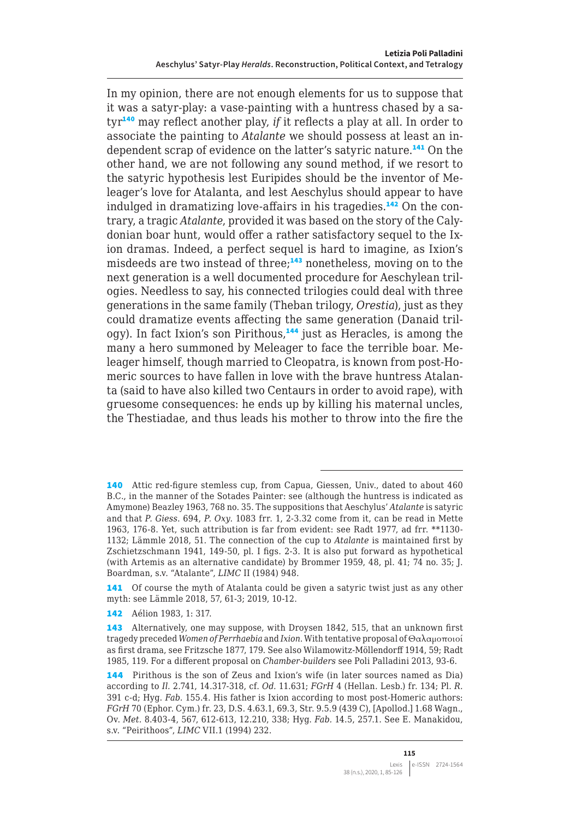In my opinion, there are not enough elements for us to suppose that it was a satyr-play: a vase-painting with a huntress chased by a satyr<sup>140</sup> may reflect another play, *if* it reflects a play at all. In order to associate the painting to *Atalante* we should possess at least an independent scrap of evidence on the latter's satyric nature.<sup>141</sup> On the other hand, we are not following any sound method, if we resort to the satyric hypothesis lest Euripides should be the inventor of Meleager's love for Atalanta, and lest Aeschylus should appear to have indulged in dramatizing love-affairs in his tragedies.<sup>142</sup> On the contrary, a tragic *Atalante*, provided it was based on the story of the Calydonian boar hunt, would offer a rather satisfactory sequel to the Ixion dramas. Indeed, a perfect sequel is hard to imagine, as Ixion's misdeeds are two instead of three;<sup>143</sup> nonetheless, moving on to the next generation is a well documented procedure for Aeschylean trilogies. Needless to say, his connected trilogies could deal with three generations in the same family (Theban trilogy, *Orestia*), just as they could dramatize events affecting the same generation (Danaid trilogy). In fact Ixion's son Pirithous,<sup>144</sup> just as Heracles, is among the many a hero summoned by Meleager to face the terrible boar. Meleager himself, though married to Cleopatra, is known from post-Homeric sources to have fallen in love with the brave huntress Atalanta (said to have also killed two Centaurs in order to avoid rape), with gruesome consequences: he ends up by killing his maternal uncles, the Thestiadae, and thus leads his mother to throw into the fire the

142 Aélion 1983, 1: 317.

<sup>140</sup> Attic red-figure stemless cup, from Capua, Giessen, Univ., dated to about 460 B.C., in the manner of the Sotades Painter: see (although the huntress is indicated as Amymone) Beazley 1963, 768 no. 35. The suppositions that Aeschylus' *Atalante* is satyric and that *P. Giess*. 694, *P. Oxy*. 1083 frr. 1, 2-3.32 come from it, can be read in Mette 1963, 176-8. Yet, such attribution is far from evident: see Radt 1977, ad frr. \*\*1130- 1132; Lämmle 2018, 51. The connection of the cup to *Atalante* is maintained first by Zschietzschmann 1941, 149-50, pl. I figs. 2-3. It is also put forward as hypothetical (with Artemis as an alternative candidate) by Brommer 1959, 48, pl. 41; 74 no. 35; J. Boardman, s.v. "Atalante", *LIMC* II (1984) 948.

<sup>141</sup> Of course the myth of Atalanta could be given a satyric twist just as any other myth: see Lämmle 2018, 57, 61-3; 2019, 10-12.

<sup>143</sup> Alternatively, one may suppose, with Droysen 1842, 515, that an unknown first tragedy preceded *Women of Perrhaebia* and *Ixion*. With tentative proposal of Θαλαμοποιοί as first drama, see Fritzsche 1877, 179. See also Wilamowitz-Möllendorff 1914, 59; Radt 1985, 119. For a different proposal on *Chamber-builders* see Poli Palladini 2013, 93-6.

<sup>144</sup> Pirithous is the son of Zeus and Ixion's wife (in later sources named as Dia) according to *Il.* 2.741, 14.317-318, cf. *Od.* 11.631; *FGrH* 4 (Hellan. Lesb.) fr. 134; Pl. *R.*  391 c-d; Hyg. *Fab.* 155.4. His father is Ixion according to most post-Homeric authors: *FGrH* 70 (Ephor. Cym.) fr. 23, D.S. 4.63.1, 69.3, Str. 9.5.9 (439 C), [Apollod.] 1.68 Wagn., Ov. *Met.* 8.403-4, 567, 612-613, 12.210, 338; Hyg. *Fab.* 14.5, 257.1. See E. Manakidou, s.v. "Peirithoos", *LIMC* VII.1 (1994) 232.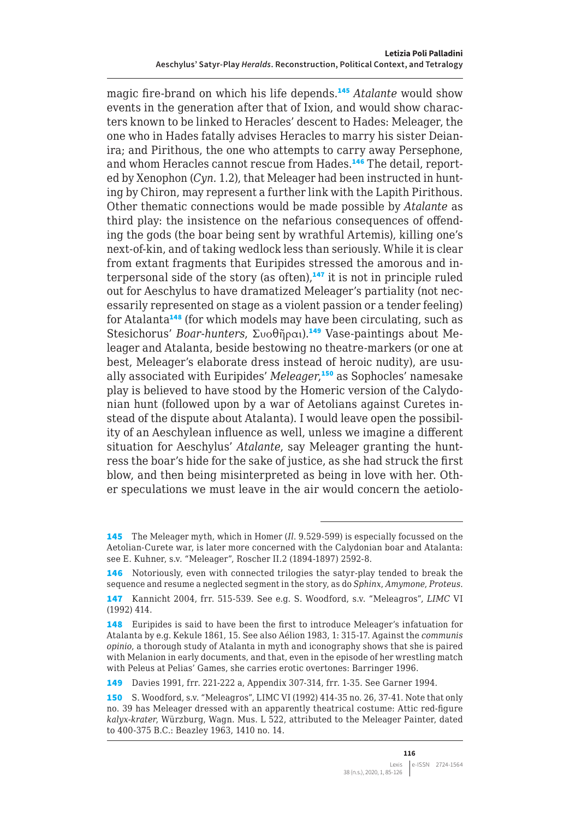magic fire-brand on which his life depends.<sup>145</sup> *Atalante* would show events in the generation after that of Ixion, and would show characters known to be linked to Heracles' descent to Hades: Meleager, the one who in Hades fatally advises Heracles to marry his sister Deianira; and Pirithous, the one who attempts to carry away Persephone, and whom Heracles cannot rescue from Hades.<sup>146</sup> The detail, reported by Xenophon (*Cyn.* 1.2), that Meleager had been instructed in hunting by Chiron, may represent a further link with the Lapith Pirithous. Other thematic connections would be made possible by *Atalante* as third play: the insistence on the nefarious consequences of offending the gods (the boar being sent by wrathful Artemis), killing one's next-of-kin, and of taking wedlock less than seriously. While it is clear from extant fragments that Euripides stressed the amorous and interpersonal side of the story (as often), $147$  it is not in principle ruled out for Aeschylus to have dramatized Meleager's partiality (not necessarily represented on stage as a violent passion or a tender feeling) for Atalanta<sup>148</sup> (for which models may have been circulating, such as Stesichorus' *Boar-hunters*, Συοθῆραι).<sup>149</sup> Vase-paintings about Meleager and Atalanta, beside bestowing no theatre-markers (or one at best, Meleager's elaborate dress instead of heroic nudity), are usually associated with Euripides' *Meleager*, <sup>150</sup> as Sophocles' namesake play is believed to have stood by the Homeric version of the Calydonian hunt (followed upon by a war of Aetolians against Curetes instead of the dispute about Atalanta). I would leave open the possibility of an Aeschylean influence as well, unless we imagine a different situation for Aeschylus' *Atalante*, say Meleager granting the huntress the boar's hide for the sake of justice, as she had struck the first blow, and then being misinterpreted as being in love with her. Other speculations we must leave in the air would concern the aetiolo-

<sup>145</sup> The Meleager myth, which in Homer (*Il*. 9.529-599) is especially focussed on the Aetolian-Curete war, is later more concerned with the Calydonian boar and Atalanta: see E. Kuhner, s.v. "Meleager", Roscher II.2 (1894-1897) 2592-8.

<sup>146</sup> Notoriously, even with connected trilogies the satyr-play tended to break the sequence and resume a neglected segment in the story, as do *Sphinx*, *Amymone*, *Proteus*. 147 Kannicht 2004, frr. 515-539. See e.g. S. Woodford, s.v. "Meleagros", *LIMC* VI (1992) 414.

<sup>148</sup> Euripides is said to have been the first to introduce Meleager's infatuation for Atalanta by e.g. Kekule 1861, 15. See also Aélion 1983, 1: 315-17. Against the *communis opinio*, a thorough study of Atalanta in myth and iconography shows that she is paired with Melanion in early documents, and that, even in the episode of her wrestling match with Peleus at Pelias' Games, she carries erotic overtones: Barringer 1996.

<sup>149</sup> Davies 1991, frr. 221-222 a, Appendix 307-314, frr. 1-35. See Garner 1994.

<sup>150</sup> S. Woodford, s.v. "Meleagros", LIMC VI (1992) 414-35 no. 26, 37-41. Note that only no. 39 has Meleager dressed with an apparently theatrical costume: Attic red-figure *kalyx*-*krater*, Würzburg, Wagn. Mus. L 522, attributed to the Meleager Painter, dated to 400-375 B.C.: Beazley 1963, 1410 no. 14.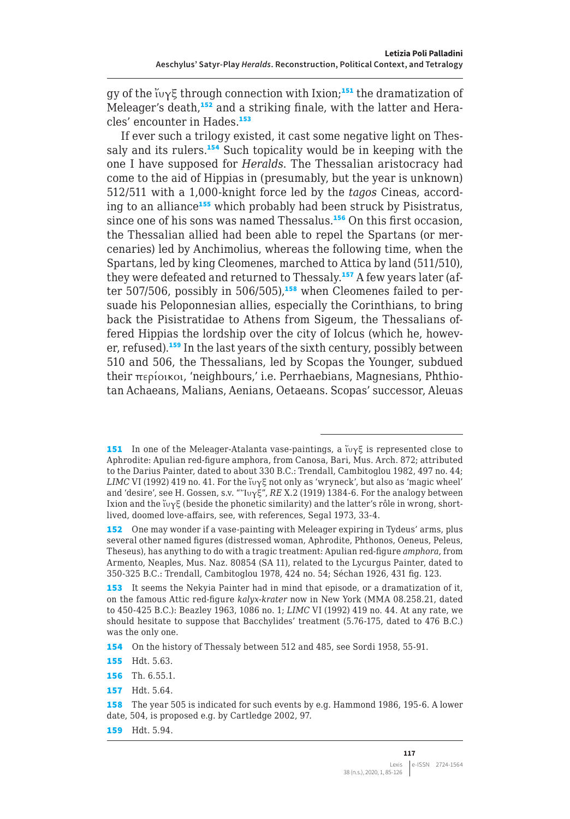gy of the ίνγξ through connection with Ixion;<sup>151</sup> the dramatization of Meleager's death,<sup>152</sup> and a striking finale, with the latter and Heracles' encounter in Hades.<sup>153</sup>

If ever such a trilogy existed, it cast some negative light on Thessaly and its rulers.<sup>154</sup> Such topicality would be in keeping with the one I have supposed for *Heralds*. The Thessalian aristocracy had come to the aid of Hippias in (presumably, but the year is unknown) 512/511 with a 1,000-knight force led by the *tagos* Cineas, according to an alliance<sup>155</sup> which probably had been struck by Pisistratus, since one of his sons was named Thessalus.<sup>156</sup> On this first occasion, the Thessalian allied had been able to repel the Spartans (or mercenaries) led by Anchimolius, whereas the following time, when the Spartans, led by king Cleomenes, marched to Attica by land (511/510), they were defeated and returned to Thessaly.<sup>157</sup> A few years later (after 507/506, possibly in 506/505),<sup>158</sup> when Cleomenes failed to persuade his Peloponnesian allies, especially the Corinthians, to bring back the Pisistratidae to Athens from Sigeum, the Thessalians offered Hippias the lordship over the city of Iolcus (which he, however, refused).<sup>159</sup> In the last years of the sixth century, possibly between 510 and 506, the Thessalians, led by Scopas the Younger, subdued their περίοικοι, 'neighbours,' i.e. Perrhaebians, Magnesians, Phthiotan Achaeans, Malians, Aenians, Oetaeans. Scopas' successor, Aleuas

154 On the history of Thessaly between 512 and 485, see Sordi 1958, 55-91.

159 Hdt. 5.94.

<sup>151</sup> In one of the Meleager-Atalanta vase-paintings, a ἴυγξ is represented close to Aphrodite: Apulian red-figure amphora, from Canosa, Bari, Mus. Arch. 872; attributed to the Darius Painter, dated to about 330 B.C.: Trendall, Cambitoglou 1982, 497 no. 44; *LIMC* VI (1992) 419 no. 41. For the ( $v\gamma$ ) at only as 'wryneck', but also as 'magic wheel' and 'desire', see H. Gossen, s.v. "Ἴυγξ", *RE* X.2 (1919) 1384-6. For the analogy between Ixion and the  $\langle v \rangle \in \langle v \rangle$  (beside the phonetic similarity) and the latter's rôle in wrong, shortlived, doomed love-affairs, see, with references, Segal 1973, 33-4.

<sup>152</sup> One may wonder if a vase-painting with Meleager expiring in Tydeus' arms, plus several other named figures (distressed woman, Aphrodite, Phthonos, Oeneus, Peleus, Theseus), has anything to do with a tragic treatment: Apulian red-figure *amphora*, from Armento, Neaples, Mus. Naz. 80854 (SA 11), related to the Lycurgus Painter, dated to 350-325 B.C.: Trendall, Cambitoglou 1978, 424 no. 54; Séchan 1926, 431 fig. 123.

<sup>153</sup> It seems the Nekyia Painter had in mind that episode, or a dramatization of it, on the famous Attic red-figure *kalyx-krater* now in New York (MMA 08.258.21, dated to 450-425 B.C.): Beazley 1963, 1086 no. 1; *LIMC* VI (1992) 419 no. 44. At any rate, we should hesitate to suppose that Bacchylides' treatment (5.76-175, dated to 476 B.C.) was the only one.

<sup>155</sup> Hdt. 5.63.

<sup>156</sup> Th. 6.55.1.

<sup>157</sup> Hdt. 5.64.

<sup>158</sup> The year 505 is indicated for such events by e.g. Hammond 1986, 195-6. A lower date, 504, is proposed e.g. by Cartledge 2002, 97.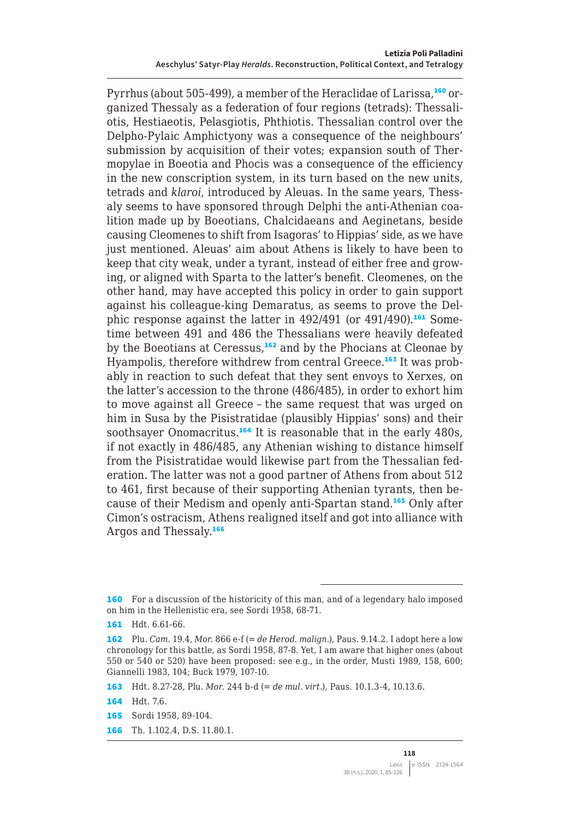Pyrrhus (about 505-499), a member of the Heraclidae of Larissa,<sup>160</sup> organized Thessaly as a federation of four regions (tetrads): Thessaliotis, Hestiaeotis, Pelasgiotis, Phthiotis. Thessalian control over the Delpho-Pylaic Amphictyony was a consequence of the neighbours' submission by acquisition of their votes; expansion south of Thermopylae in Boeotia and Phocis was a consequence of the efficiency in the new conscription system, in its turn based on the new units, tetrads and *klaroi*, introduced by Aleuas. In the same years, Thessaly seems to have sponsored through Delphi the anti-Athenian coalition made up by Boeotians, Chalcidaeans and Aeginetans, beside causing Cleomenes to shift from Isagoras' to Hippias' side, as we have just mentioned. Aleuas' aim about Athens is likely to have been to keep that city weak, under a tyrant, instead of either free and growing, or aligned with Sparta to the latter's benefit. Cleomenes, on the other hand, may have accepted this policy in order to gain support against his colleague-king Demaratus, as seems to prove the Delphic response against the latter in 492/491 (or 491/490).<sup>161</sup> Sometime between 491 and 486 the Thessalians were heavily defeated by the Boeotians at Ceressus,<sup>162</sup> and by the Phocians at Cleonae by Hyampolis, therefore withdrew from central Greece.<sup>163</sup> It was probably in reaction to such defeat that they sent envoys to Xerxes, on the latter's accession to the throne (486/485), in order to exhort him to move against all Greece – the same request that was urged on him in Susa by the Pisistratidae (plausibly Hippias' sons) and their soothsayer Onomacritus.<sup>164</sup> It is reasonable that in the early 480s, if not exactly in 486/485, any Athenian wishing to distance himself from the Pisistratidae would likewise part from the Thessalian federation. The latter was not a good partner of Athens from about 512 to 461, first because of their supporting Athenian tyrants, then because of their Medism and openly anti-Spartan stand.<sup>165</sup> Only after Cimon's ostracism, Athens realigned itself and got into alliance with Argos and Thessaly.<sup>166</sup>

163 Hdt. 8.27-28, Plu. *Mor.* 244 b-d (= *de mul. virt.*), Paus. 10.1.3-4, 10.13.6.

164 Hdt. 7.6.

165 Sordi 1958, 89-104.

166 Th. 1.102.4, D.S. 11.80.1.

<sup>160</sup> For a discussion of the historicity of this man, and of a legendary halo imposed on him in the Hellenistic era, see Sordi 1958, 68-71.

<sup>161</sup> Hdt. 6.61-66.

<sup>162</sup> Plu. *Cam.* 19.4, *Mor.* 866 e-f (= *de Herod. malign.*), Paus. 9.14.2. I adopt here a low chronology for this battle, as Sordi 1958, 87-8. Yet, I am aware that higher ones (about 550 or 540 or 520) have been proposed: see e.g., in the order, Musti 1989, 158, 600; Giannelli 1983, 104; Buck 1979, 107-10.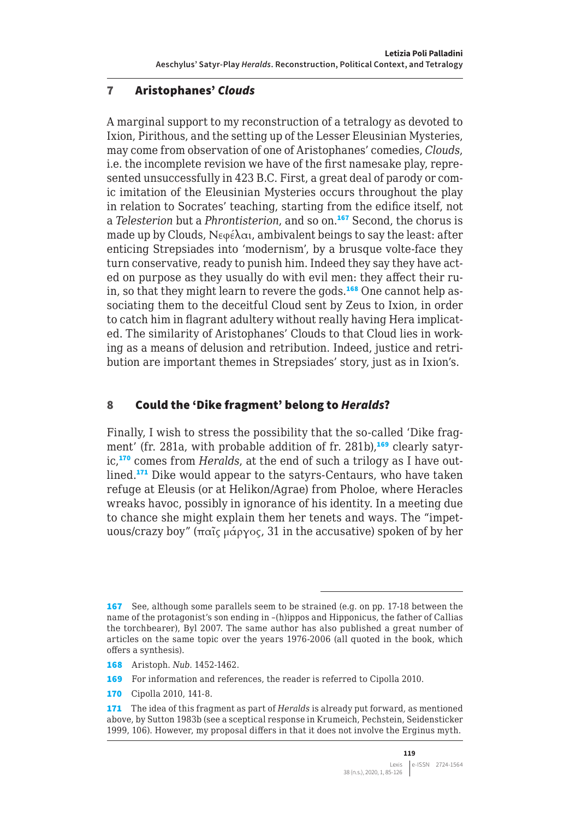#### 7 Aristophanes' *Clouds*

A marginal support to my reconstruction of a tetralogy as devoted to Ixion, Pirithous, and the setting up of the Lesser Eleusinian Mysteries, may come from observation of one of Aristophanes' comedies, *Clouds*, i.e. the incomplete revision we have of the first namesake play, represented unsuccessfully in 423 B.C. First, a great deal of parody or comic imitation of the Eleusinian Mysteries occurs throughout the play in relation to Socrates' teaching, starting from the edifice itself, not a *Telesterion* but a *Phrontisterion*, and so on.<sup>167</sup> Second, the chorus is made up by Clouds,  $N \epsilon \varphi \in \lambda \alpha_1$ , ambivalent beings to say the least: after enticing Strepsiades into 'modernism', by a brusque volte-face they turn conservative, ready to punish him. Indeed they say they have acted on purpose as they usually do with evil men: they affect their ruin, so that they might learn to revere the gods.<sup>168</sup> One cannot help associating them to the deceitful Cloud sent by Zeus to Ixion, in order to catch him in flagrant adultery without really having Hera implicated. The similarity of Aristophanes' Clouds to that Cloud lies in working as a means of delusion and retribution. Indeed, justice and retribution are important themes in Strepsiades' story, just as in Ixion's.

#### 8 Could the 'Dike fragment' belong to *Heralds*?

Finally, I wish to stress the possibility that the so-called 'Dike fragment' (fr. 281a, with probable addition of fr. 281b),<sup>169</sup> clearly satyric.<sup>170</sup> comes from *Heralds*, at the end of such a trilogy as I have outlined.<sup>171</sup> Dike would appear to the satyrs-Centaurs, who have taken refuge at Eleusis (or at Helikon/Agrae) from Pholoe, where Heracles wreaks havoc, possibly in ignorance of his identity. In a meeting due to chance she might explain them her tenets and ways. The "impetuous/crazy boy" (παῖς μάργος, 31 in the accusative) spoken of by her

<sup>167</sup> See, although some parallels seem to be strained (e.g. on pp. 17-18 between the name of the protagonist's son ending in –(h)ippos and Hipponicus, the father of Callias the torchbearer), Byl 2007. The same author has also published a great number of articles on the same topic over the years 1976-2006 (all quoted in the book, which offers a synthesis).

<sup>168</sup> Aristoph. *Nub.* 1452-1462.

<sup>169</sup> For information and references, the reader is referred to Cipolla 2010.

<sup>170</sup> Cipolla 2010, 141-8.

<sup>171</sup> The idea of this fragment as part of *Heralds* is already put forward, as mentioned above, by Sutton 1983b (see a sceptical response in Krumeich, Pechstein, Seidensticker 1999, 106). However, my proposal differs in that it does not involve the Erginus myth.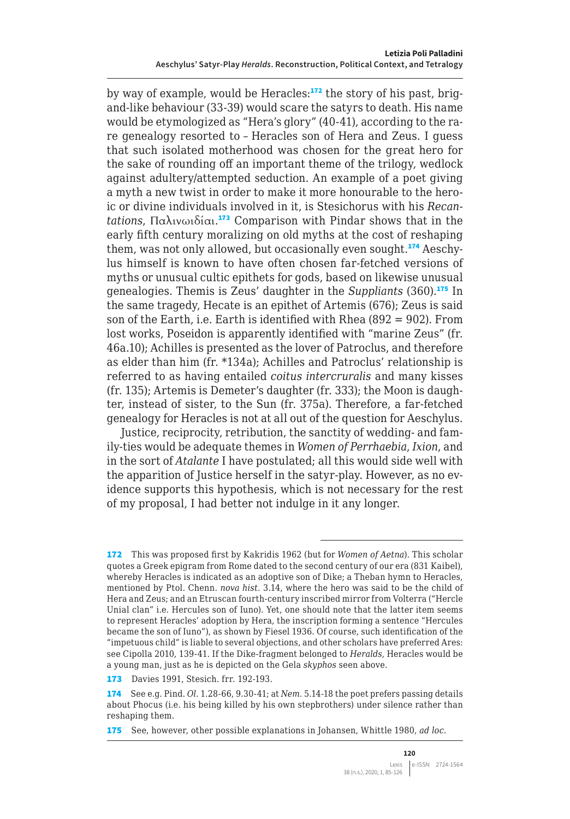by way of example, would be Heracles: $172$  the story of his past, brigand-like behaviour (33-39) would scare the satyrs to death. His name would be etymologized as "Hera's glory" (40-41), according to the rare genealogy resorted to – Heracles son of Hera and Zeus. I guess that such isolated motherhood was chosen for the great hero for the sake of rounding off an important theme of the trilogy, wedlock against adultery/attempted seduction. An example of a poet giving a myth a new twist in order to make it more honourable to the heroic or divine individuals involved in it, is Stesichorus with his *Recantations*, Παλινωιδίαι. <sup>173</sup> Comparison with Pindar shows that in the early fifth century moralizing on old myths at the cost of reshaping them, was not only allowed, but occasionally even sought.<sup>174</sup> Aeschylus himself is known to have often chosen far-fetched versions of myths or unusual cultic epithets for gods, based on likewise unusual genealogies. Themis is Zeus' daughter in the *Suppliants* (360).<sup>175</sup> In the same tragedy, Hecate is an epithet of Artemis (676); Zeus is said son of the Earth, i.e. Earth is identified with Rhea (892 = 902). From lost works, Poseidon is apparently identified with "marine Zeus" (fr. 46a.10); Achilles is presented as the lover of Patroclus, and therefore as elder than him (fr. \*134a); Achilles and Patroclus' relationship is referred to as having entailed *coitus intercruralis* and many kisses (fr. 135); Artemis is Demeter's daughter (fr. 333); the Moon is daughter, instead of sister, to the Sun (fr. 375a). Therefore, a far-fetched genealogy for Heracles is not at all out of the question for Aeschylus.

Justice, reciprocity, retribution, the sanctity of wedding- and family-ties would be adequate themes in *Women of Perrhaebia*, *Ixion*, and in the sort of *Atalante* I have postulated; all this would side well with the apparition of Justice herself in the satyr-play. However, as no evidence supports this hypothesis, which is not necessary for the rest of my proposal, I had better not indulge in it any longer.

<sup>172</sup> This was proposed first by Kakridis 1962 (but for *Women of Aetna*). This scholar quotes a Greek epigram from Rome dated to the second century of our era (831 Kaibel), whereby Heracles is indicated as an adoptive son of Dike; a Theban hymn to Heracles, mentioned by Ptol. Chenn. *nova hist.* 3.14, where the hero was said to be the child of Hera and Zeus; and an Etruscan fourth-century inscribed mirror from Volterra ("Hercle Unial clan" i.e. Hercules son of Iuno). Yet, one should note that the latter item seems to represent Heracles' adoption by Hera, the inscription forming a sentence "Hercules became the son of Iuno"), as shown by Fiesel 1936. Of course, such identification of the "impetuous child" is liable to several objections, and other scholars have preferred Ares: see Cipolla 2010, 139-41. If the Dike-fragment belonged to *Heralds*, Heracles would be a young man, just as he is depicted on the Gela *skyphos* seen above.

<sup>173</sup> Davies 1991, Stesich. frr. 192-193.

<sup>174</sup> See e.g. Pind. *Ol*. 1.28-66, 9.30-41; at *Nem*. 5.14-18 the poet prefers passing details about Phocus (i.e. his being killed by his own stepbrothers) under silence rather than reshaping them.

<sup>175</sup> See, however, other possible explanations in Johansen, Whittle 1980, *ad loc.*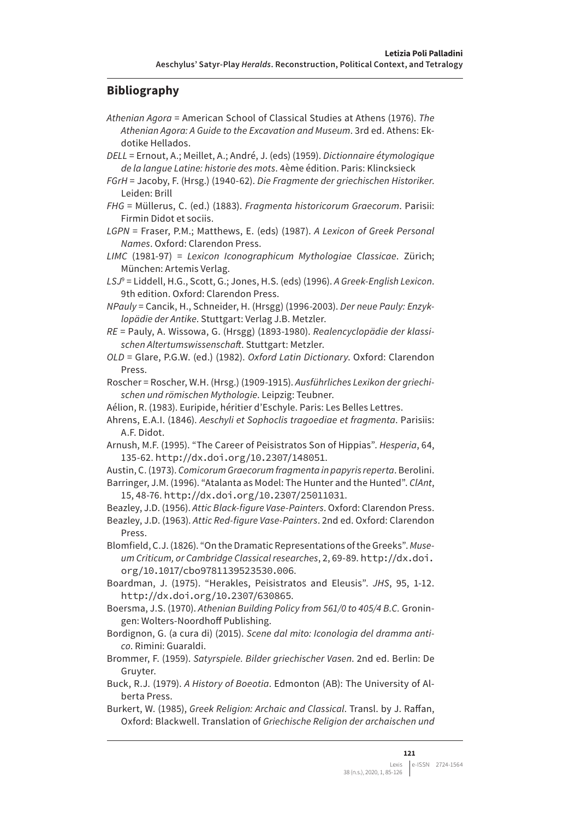#### **Bibliography**

- *Athenian Agora* = American School of Classical Studies at Athens (1976). *The Athenian Agora: A Guide to the Excavation and Museum*. 3rd ed. Athens: Ekdotike Hellados.
- *DELL* = Ernout, A.; Meillet, A.; André, J. (eds) (1959). *Dictionnaire étymologique de la langue Latine: historie des mots*. 4ème édition. Paris: Klincksieck
- *FGrH* = Jacoby, F. (Hrsg.) (1940-62). *Die Fragmente der griechischen Historiker*. Leiden: Brill
- *FHG* = Müllerus, C. (ed.) (1883). *Fragmenta historicorum Graecorum*. Parisii: Firmin Didot et sociis.
- *LGPN* = Fraser, P.M.; Matthews, E. (eds) (1987). *A Lexicon of Greek Personal Names*. Oxford: Clarendon Press.
- *LIMC* (1981-97) = *Lexicon Iconographicum Mythologiae Classicae*. Zürich; München: Artemis Verlag.
- *LSJ*<sup>9</sup> = Liddell, H.G., Scott, G.; Jones, H.S. (eds) (1996). *A Greek-English Lexicon*. 9th edition. Oxford: Clarendon Press.
- *NPauly* = Cancik, H., Schneider, H. (Hrsgg) (1996-2003). *Der neue Pauly: Enzyklopädie der Antike*. Stuttgart: Verlag J.B. Metzler.
- *RE* = Pauly, A. Wissowa, G. (Hrsgg) (1893-1980). *Realencyclopädie der klassischen Altertumswissenschaft*. Stuttgart: Metzler.
- *OLD* = Glare, P.G.W. (ed.) (1982). *Oxford Latin Dictionary*. Oxford: Clarendon Press.
- Roscher = Roscher, W.H. (Hrsg.) (1909-1915). *Ausführliches Lexikon der griechischen und römischen Mythologie*. Leipzig: Teubner.
- Aélion, R. (1983). Euripide, héritier d'Eschyle. Paris: Les Belles Lettres.
- Ahrens, E.A.I. (1846). *Aeschyli et Sophoclis tragoediae et fragmenta*. Parisiis: A.F. Didot.
- Arnush, M.F. (1995). "The Career of Peisistratos Son of Hippias". *Hesperia*, 64, 135-62. <http://dx.doi.org/10.2307/148051>.
- Austin, C. (1973). *Comicorum Graecorum fragmenta in papyris reperta*. Berolini.
- Barringer, J.M. (1996). "Atalanta as Model: The Hunter and the Hunted". *ClAnt*, 15, 48-76. <http://dx.doi.org/10.2307/25011031>.
- Beazley, J.D. (1956). *Attic Black-figure Vase-Painters*. Oxford: Clarendon Press.
- Beazley, J.D. (1963). *Attic Red-figure Vase-Painters*. 2nd ed. Oxford: Clarendon Press.
- Blomfield, C.J. (1826). "On the Dramatic Representations of the Greeks". *Museum Criticum, or Cambridge Classical researches*, 2, 69-89. [http://dx.doi.](http://dx.doi.org/10.1017/cbo9781139523530.006) [org/10.1017/cbo9781139523530.006](http://dx.doi.org/10.1017/cbo9781139523530.006).
- Boardman, J. (1975). "Herakles, Peisistratos and Eleusis". *JHS*, 95, 1-12. <http://dx.doi.org/10.2307/630865>.
- Boersma, J.S. (1970). *Athenian Building Policy from 561/0 to 405/4 B.C.* Groningen: Wolters-Noordhoff Publishing.
- Bordignon, G. (a cura di) (2015). *Scene dal mito: Iconologia del dramma antico*. Rimini: Guaraldi.
- Brommer, F. (1959). *Satyrspiele. Bilder griechischer Vasen*. 2nd ed. Berlin: De Gruyter.
- Buck, R.J. (1979). *A History of Boeotia*. Edmonton (AB): The University of Alberta Press.
- Burkert, W. (1985), *Greek Religion: Archaic and Classical*. Transl. by J. Raffan, Oxford: Blackwell. Translation of *Griechische Religion der archaischen und*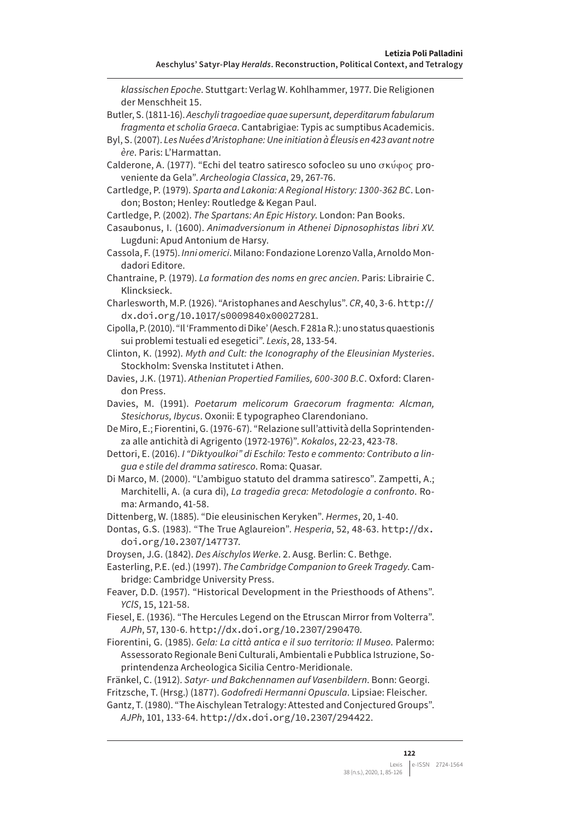*klassischen Epoche*. Stuttgart: Verlag W. Kohlhammer, 1977. Die Religionen der Menschheit 15.

- Butler, S. (1811-16). *Aeschyli tragoediae quae supersunt, deperditarum fabularum fragmenta et scholia Graeca*. Cantabrigiae: Typis ac sumptibus Academicis.
- Byl, S. (2007). *Les Nuées d'Aristophane: Une initiation à Éleusis en 423 avant notre ère*. Paris: L'Harmattan.

Calderone, A. (1977). "Echi del teatro satiresco sofocleo su uno σκύφος proveniente da Gela". *Archeologia Classica*, 29, 267-76.

- Cartledge, P. (1979). *Sparta and Lakonia: A Regional History: 1300-362 BC*. London; Boston; Henley: Routledge & Kegan Paul.
- Cartledge, P. (2002). *The Spartans: An Epic History*. London: Pan Books.
- Casaubonus, I. (1600). *Animadversionum in Athenei Dipnosophistas libri XV*. Lugduni: Apud Antonium de Harsy.
- Cassola, F. (1975). *Inni omerici*. Milano: Fondazione Lorenzo Valla, Arnoldo Mondadori Editore.
- Chantraine, P. (1979). *La formation des noms en grec ancien*. Paris: Librairie C. Klincksieck.
- Charlesworth, M.P. (1926). "Aristophanes and Aeschylus". *CR*, 40, 3-6. [http://](http://dx.doi.org/10.1017/s0009840x00027281) [dx.doi.org/10.1017/s0009840x00027281](http://dx.doi.org/10.1017/s0009840x00027281).
- Cipolla, P. (2010). "Il 'Frammento di Dike' (Aesch. F 281a R.): uno status quaestionis sui problemi testuali ed esegetici". *Lexis*, 28, 133-54.
- Clinton, K. (1992). *Myth and Cult: the Iconography of the Eleusinian Mysteries*. Stockholm: Svenska Institutet i Athen.
- Davies, J.K. (1971). *Athenian Propertied Families, 600-300 B.C*. Oxford: Clarendon Press.
- Davies, M. (1991). *Poetarum melicorum Graecorum fragmenta: Alcman, Stesichorus, Ibycus*. Oxonii: E typographeo Clarendoniano.
- De Miro, E.; Fiorentini, G. (1976-67). "Relazione sull'attività della Soprintendenza alle antichità di Agrigento (1972-1976)". *Kokalos*, 22-23, 423-78.
- Dettori, E. (2016). *I "Diktyoulkoi" di Eschilo: Testo e commento: Contributo a lingua e stile del dramma satiresco*. Roma: Quasar.
- Di Marco, M. (2000). "L'ambiguo statuto del dramma satiresco". Zampetti, A.; Marchitelli, A. (a cura di), *La tragedia greca: Metodologie a confronto*. Roma: Armando, 41-58.

Dittenberg, W. (1885). "Die eleusinischen Keryken". *Hermes*, 20, 1-40.

Droysen, J.G. (1842). *Des Aischylos Werke*. 2. Ausg. Berlin: C. Bethge.

Easterling, P.E. (ed.) (1997). *The Cambridge Companion to Greek Tragedy*. Cambridge: Cambridge University Press.

- Feaver, D.D. (1957). "Historical Development in the Priesthoods of Athens". *YClS*, 15, 121-58.
- Fiesel, E. (1936). "The Hercules Legend on the Etruscan Mirror from Volterra". *AJPh*, 57, 130-6. <http://dx.doi.org/10.2307/290470>.

Fiorentini, G. (1985). *Gela: La città antica e il suo territorio: Il Museo*. Palermo: Assessorato Regionale Beni Culturali, Ambientali e Pubblica Istruzione, Soprintendenza Archeologica Sicilia Centro-Meridionale.

- Fränkel, C. (1912). *Satyr- und Bakchennamen auf Vasenbildern*. Bonn: Georgi. Fritzsche, T. (Hrsg.) (1877). *Godofredi Hermanni Opuscula*. Lipsiae: Fleischer.
- Gantz, T. (1980). "The Aischylean Tetralogy: Attested and Conjectured Groups". *AJPh*, 101, 133-64. <http://dx.doi.org/10.2307/294422>.

Dontas, G.S. (1983). "The True Aglaureion". *Hesperia*, 52, 48-63. [http://dx.](http://dx.doi.org/10.2307/147737) [doi.org/10.2307/147737](http://dx.doi.org/10.2307/147737).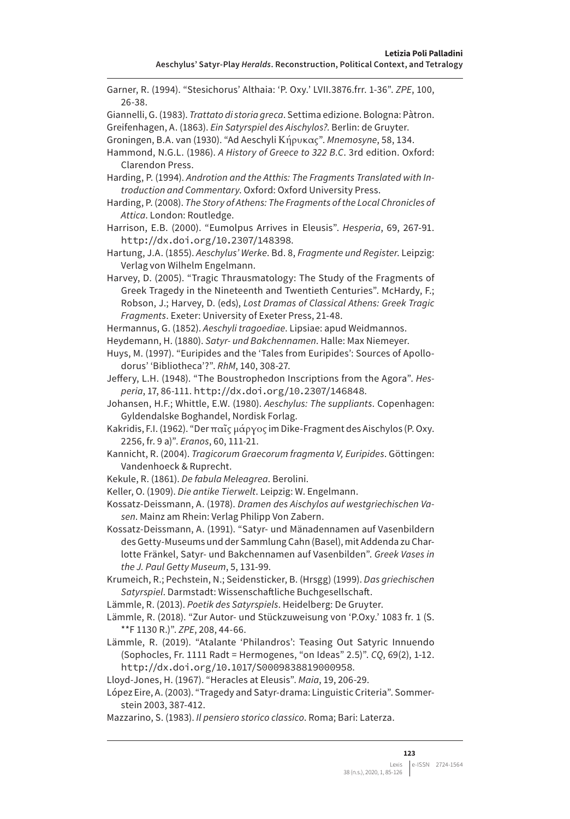Garner, R. (1994). "Stesichorus' Althaia: 'P. Oxy.' LVII.3876.frr. 1-36". *ZPE*, 100, 26-38. Giannelli, G. (1983). *Trattato di storia greca*. Settima edizione. Bologna: Pàtron. Greifenhagen, A. (1863). *Ein Satyrspiel des Aischylos?*. Berlin: de Gruyter. Groningen, B.A. van (1930). "Ad Aeschyli Κήρυκας". *Mnemosyne*, 58, 134. Hammond, N.G.L. (1986). *A History of Greece to 322 B.C*. 3rd edition. Oxford: Clarendon Press. Harding, P. (1994). *Androtion and the Atthis: The Fragments Translated with Introduction and Commentary*. Oxford: Oxford University Press. Harding, P. (2008). *The Story of Athens: The Fragments of the Local Chronicles of Attica*. London: Routledge. Harrison, E.B. (2000). "Eumolpus Arrives in Eleusis". *Hesperia*, 69, 267-91. <http://dx.doi.org/10.2307/148398>. Hartung, J.A. (1855). *Aeschylus' Werke*. Bd. 8, *Fragmente und Register*. Leipzig: Verlag von Wilhelm Engelmann. Harvey, D. (2005). "Tragic Thrausmatology: The Study of the Fragments of Greek Tragedy in the Nineteenth and Twentieth Centuries". McHardy, F.; Robson, J.; Harvey, D. (eds), *Lost Dramas of Classical Athens: Greek Tragic Fragments*. Exeter: University of Exeter Press, 21-48. Hermannus, G. (1852). *Aeschyli tragoediae*. Lipsiae: apud Weidmannos. Heydemann, H. (1880). *Satyr- und Bakchennamen*. Halle: Max Niemeyer. Huys, M. (1997). "Euripides and the 'Tales from Euripides': Sources of Apollodorus' 'Bibliotheca'?". *RhM*, 140, 308-27. Jeffery, L.H. (1948). "The Boustrophedon Inscriptions from the Agora". *Hesperia*, 17, 86-111. <http://dx.doi.org/10.2307/146848>. Johansen, H.F.; Whittle, E.W. (1980). *Aeschylus: The suppliants*. Copenhagen: Gyldendalske Boghandel, Nordisk Forlag. Kakridis, F.I. (1962). "Der παῖς μάργος im Dike-Fragment des Aischylos (P. Oxy. 2256, fr. 9 a)". *Eranos*, 60, 111-21. Kannicht, R. (2004). *Tragicorum Graecorum fragmenta V, Euripides*. Göttingen: Vandenhoeck & Ruprecht. Kekule, R. (1861). *De fabula Meleagrea*. Berolini. Keller, O. (1909). *Die antike Tierwelt*. Leipzig: W. Engelmann. Kossatz-Deissmann, A. (1978). *Dramen des Aischylos auf westgriechischen Vasen*. Mainz am Rhein: Verlag Philipp Von Zabern. Kossatz-Deissmann, A. (1991). "Satyr- und Mänadennamen auf Vasenbildern des Getty-Museums und der Sammlung Cahn (Basel), mit Addenda zu Charlotte Fränkel, Satyr- und Bakchennamen auf Vasenbilden". *Greek Vases in the J. Paul Getty Museum*, 5, 131-99.

- Krumeich, R.; Pechstein, N.; Seidensticker, B. (Hrsgg) (1999). *Das griechischen Satyrspiel*. Darmstadt: Wissenschaftliche Buchgesellschaft.
- Lämmle, R. (2013). *Poetik des Satyrspiels*. Heidelberg: De Gruyter.
- Lämmle, R. (2018). "Zur Autor- und Stückzuweisung von 'P.Oxy.' 1083 fr. 1 (S. \*\*F 1130 R.)". *ZPE*, 208, 44-66.

Lämmle, R. (2019). "Atalante 'Philandros': Teasing Out Satyric Innuendo (Sophocles, Fr. 1111 Radt = Hermogenes, "on Ideas" 2.5)". *CQ*, 69(2), 1-12. <http://dx.doi.org/10.1017/S0009838819000958>.

Lloyd-Jones, H. (1967). "Heracles at Eleusis". *Maia*, 19, 206-29.

López Eire, A. (2003). "Tragedy and Satyr-drama: Linguistic Criteria". Sommerstein 2003, 387-412.

Mazzarino, S. (1983). *Il pensiero storico classico*. Roma; Bari: Laterza.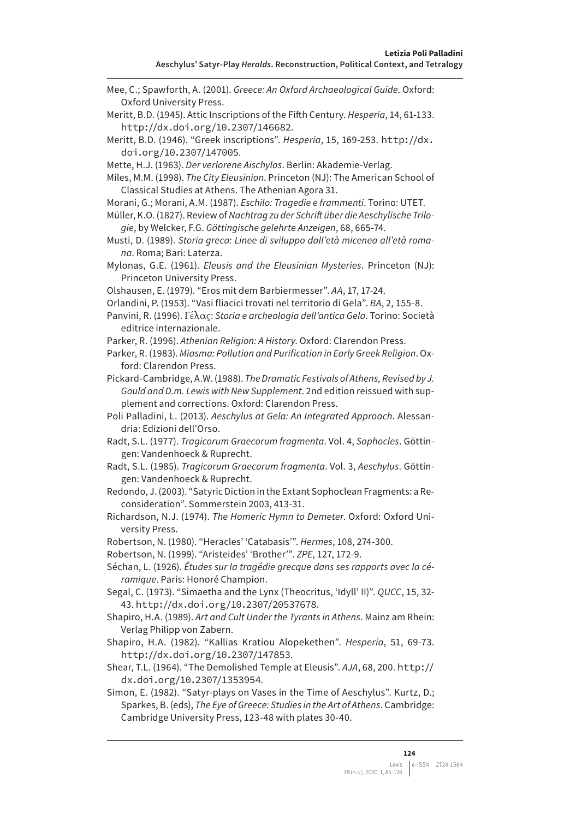Mee, C.; Spawforth, A. (2001). *Greece: An Oxford Archaeological Guide*. Oxford: Oxford University Press. Meritt, B.D. (1945). Attic Inscriptions of the Fifth Century. *Hesperia*, 14, 61-133. <http://dx.doi.org/10.2307/146682>. Meritt, B.D. (1946). "Greek inscriptions". *Hesperia*, 15, 169-253. [http://dx.](http://dx.doi.org/10.2307/147005) [doi.org/10.2307/147005](http://dx.doi.org/10.2307/147005). Mette, H.J. (1963). *Der verlorene Aischylos*. Berlin: Akademie-Verlag. Miles, M.M. (1998). *The City Eleusinion*. Princeton (NJ): The American School of Classical Studies at Athens. The Athenian Agora 31.

Morani, G.; Morani, A.M. (1987). *Eschilo: Tragedie e frammenti*. Torino: UTET.

- Müller, K.O. (1827). Review of *Nachtrag zu der Schrift über die Aeschylische Trilogie*, by Welcker, F.G. *Göttingische gelehrte Anzeigen*, 68, 665-74.
- Musti, D. (1989). *Storia greca: Linee di sviluppo dall'età micenea all'età romana*. Roma; Bari: Laterza.
- Mylonas, G.E. (1961). *Eleusis and the Eleusinian Mysteries*. Princeton (NJ): Princeton University Press.

Olshausen, E. (1979). "Eros mit dem Barbiermesser". *AA*, 17, 17-24.

- Orlandini, P. (1953). "Vasi fliacici trovati nel territorio di Gela". *BA*, 2, 155-8.
- Panvini, R. (1996). Γέλας: *Storia e archeologia dell'antica Gela*. Torino: Società editrice internazionale.
- Parker, R. (1996). *Athenian Religion: A History*. Oxford: Clarendon Press.
- Parker, R. (1983). *Miasma: Pollution and Purification in Early Greek Religion*. Oxford: Clarendon Press.
- Pickard-Cambridge, A.W. (1988). *The Dramatic Festivals of Athens, Revised by J. Gould and D.m. Lewis with New Supplement*. 2nd edition reissued with supplement and corrections. Oxford: Clarendon Press.

Poli Palladini, L. (2013). *Aeschylus at Gela: An Integrated Approach*. Alessandria: Edizioni dell'Orso.

- Radt, S.L. (1977). *Tragicorum Graecorum fragmenta*. Vol. 4, *Sophocles*. Göttingen: Vandenhoeck & Ruprecht.
- Radt, S.L. (1985). *Tragicorum Graecorum fragmenta*. Vol. 3, *Aeschylus*. Göttingen: Vandenhoeck & Ruprecht.
- Redondo, J. (2003). "Satyric Diction in the Extant Sophoclean Fragments: a Reconsideration". Sommerstein 2003, 413-31.
- Richardson, N.J. (1974). *The Homeric Hymn to Demeter*. Oxford: Oxford University Press.
- Robertson, N. (1980). "Heracles' 'Catabasis'". *Hermes*, 108, 274-300.

Robertson, N. (1999). "Aristeides' 'Brother'". *ZPE*, 127, 172-9.

- Séchan, L. (1926). *Études sur la tragédie grecque dans ses rapports avec la céramique*. Paris: Honoré Champion.
- Segal, C. (1973). "Simaetha and the Lynx (Theocritus, 'Idyll' II)". *QUCC*, 15, 32- 43. <http://dx.doi.org/10.2307/20537678>.
- Shapiro, H.A. (1989). *Art and Cult Under the Tyrants in Athens*. Mainz am Rhein: Verlag Philipp von Zabern.
- Shapiro, H.A. (1982). "Kallias Kratiou Alopekethen". *Hesperia*, 51, 69-73. <http://dx.doi.org/10.2307/147853>.
- Shear, T.L. (1964). "The Demolished Temple at Eleusis". *AJA*, 68, 200. [http://](http://dx.doi.org/10.2307/1353954) [dx.doi.org/10.2307/1353954](http://dx.doi.org/10.2307/1353954).
- Simon, E. (1982). "Satyr-plays on Vases in the Time of Aeschylus". Kurtz, D.; Sparkes, B. (eds), *The Eye of Greece: Studies in the Art of Athens*. Cambridge: Cambridge University Press, 123-48 with plates 30-40.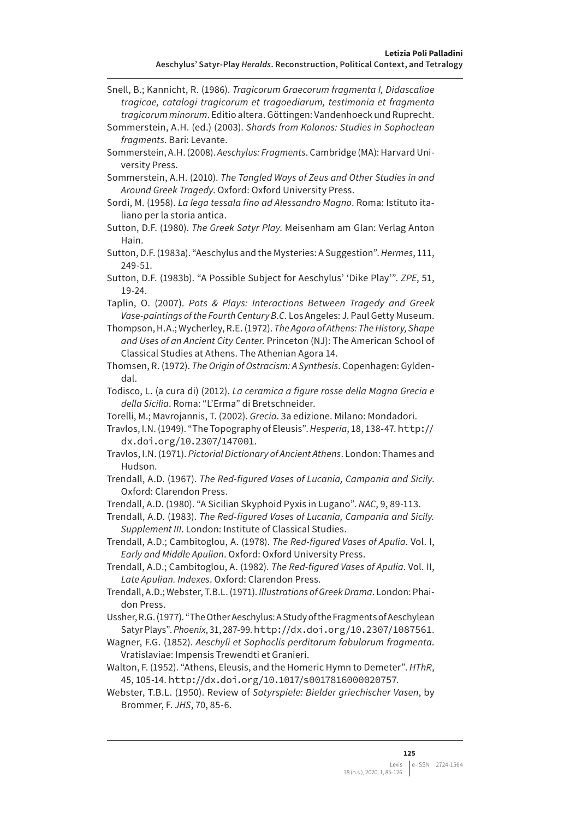- Snell, B.; Kannicht, R. (1986). *Tragicorum Graecorum fragmenta I, Didascaliae tragicae, catalogi tragicorum et tragoediarum, testimonia et fragmenta tragicorum minorum*. Editio altera. Göttingen: Vandenhoeck und Ruprecht.
- Sommerstein, A.H. (ed.) (2003). *Shards from Kolonos: Studies in Sophoclean fragments*. Bari: Levante.
- Sommerstein, A.H. (2008). *Aeschylus: Fragments*. Cambridge (MA): Harvard University Press.
- Sommerstein, A.H. (2010). *The Tangled Ways of Zeus and Other Studies in and Around Greek Tragedy*. Oxford: Oxford University Press.
- Sordi, M. (1958). *La lega tessala fino ad Alessandro Magno*. Roma: Istituto italiano per la storia antica.
- Sutton, D.F. (1980). *The Greek Satyr Play*. Meisenham am Glan: Verlag Anton Hain.
- Sutton, D.F. (1983a). "Aeschylus and the Mysteries: A Suggestion". *Hermes*, 111, 249-51.
- Sutton, D.F. (1983b). "A Possible Subject for Aeschylus' 'Dike Play'". *ZPE*, 51, 19-24.
- Taplin, O. (2007). *Pots & Plays: Interactions Between Tragedy and Greek Vase-paintings of the Fourth Century B.C.* Los Angeles: J. Paul Getty Museum.
- Thompson, H.A.; Wycherley, R.E. (1972). *The Agora of Athens: The History, Shape and Uses of an Ancient City Center*. Princeton (NJ): The American School of Classical Studies at Athens. The Athenian Agora 14.
- Thomsen, R. (1972). *The Origin of Ostracism: A Synthesis*. Copenhagen: Gyldendal.
- Todisco, L. (a cura di) (2012). *La ceramica a figure rosse della Magna Grecia e della Sicilia*. Roma: "L'Erma" di Bretschneider.
- Torelli, M.; Mavrojannis, T. (2002). *Grecia*. 3a edizione. Milano: Mondadori.

Travlos, I.N. (1949). "The Topography of Eleusis". *Hesperia*, 18, 138-47. [http://](http://dx.doi.org/10.2307/147001) [dx.doi.org/10.2307/147001](http://dx.doi.org/10.2307/147001).

- Travlos, I.N. (1971). *Pictorial Dictionary of Ancient Athens*. London: Thames and Hudson.
- Trendall, A.D. (1967). *The Red-figured Vases of Lucania, Campania and Sicily*. Oxford: Clarendon Press.
- Trendall, A.D. (1980). "A Sicilian Skyphoid Pyxis in Lugano". *NAC*, 9, 89-113.

Trendall, A.D. (1983). *The Red-figured Vases of Lucania, Campania and Sicily. Supplement III*. London: Institute of Classical Studies.

Trendall, A.D.; Cambitoglou, A. (1978). *The Red-figured Vases of Apulia*. Vol. I, *Early and Middle Apulian*. Oxford: Oxford University Press.

Trendall, A.D.; Cambitoglou, A. (1982). *The Red-figured Vases of Apulia*. Vol. II, *Late Apulian. Indexes*. Oxford: Clarendon Press.

- Trendall, A.D.; Webster, T.B.L. (1971). *Illustrations of Greek Drama*. London: Phaidon Press.
- Ussher, R.G. (1977). "The Other Aeschylus: A Study of the Fragments of Aeschylean Satyr Plays". *Phoenix*, 31, 287-99. <http://dx.doi.org/10.2307/1087561>.
- Wagner, F.G. (1852). *Aeschyli et Sophoclis perditarum fabularum fragmenta*. Vratislaviae: Impensis Trewendti et Granieri.
- Walton, F. (1952). "Athens, Eleusis, and the Homeric Hymn to Demeter". *HThR*, 45, 105-14. <http://dx.doi.org/10.1017/s0017816000020757>.

Webster, T.B.L. (1950). Review of *Satyrspiele: Bielder griechischer Vasen*, by Brommer, F. *JHS*, 70, 85-6.